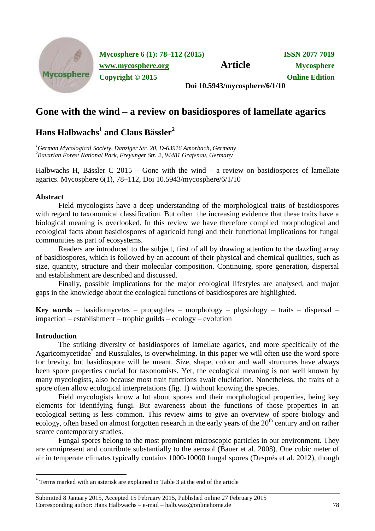

**Mycosphere 6 (1): 78–112 (2015) ISSN 2077 7019 [www.mycosphere.org](http://www.mycosphere.org/) Article Mycosphere Copyright © 2015 Online Edition Doi 10.5943/mycosphere/6/1/10**

**Gone with the wind – a review on basidiospores of lamellate agarics**

# **Hans Halbwachs<sup>1</sup> and Claus Bässler<sup>2</sup>**

*<sup>1</sup>German Mycological Society, Danziger Str. 20, D-63916 Amorbach, Germany <sup>2</sup>Bavarian Forest National Park, Freyunger Str. 2, 94481 Grafenau, Germany*

Halbwachs H, Bässler C 2015 – Gone with the wind – a review on basidiospores of lamellate agarics. Mycosphere 6(1), 78–112, Doi 10.5943/mycosphere/6/1/10

# **Abstract**

Field mycologists have a deep understanding of the morphological traits of basidiospores with regard to taxonomical classification. But often the increasing evidence that these traits have a biological meaning is overlooked. In this review we have therefore compiled morphological and ecological facts about basidiospores of agaricoid fungi and their functional implications for fungal communities as part of ecosystems.

Readers are introduced to the subject, first of all by drawing attention to the dazzling array of basidiospores, which is followed by an account of their physical and chemical qualities, such as size, quantity, structure and their molecular composition. Continuing, spore generation, dispersal and establishment are described and discussed.

Finally, possible implications for the major ecological lifestyles are analysed, and major gaps in the knowledge about the ecological functions of basidiospores are highlighted.

**Key words** – basidiomycetes – propagules – morphology – physiology – traits – dispersal – impaction – establishment – trophic guilds – ecology – evolution

# **Introduction**

-

The striking diversity of basidiospores of lamellate agarics, and more specifically of the Agaricomycetidae<sup>\*</sup> and Russulales, is overwhelming. In this paper we will often use the word spore for brevity, but basidiospore will be meant. Size, shape, colour and wall structures have always been spore properties crucial for taxonomists. Yet, the ecological meaning is not well known by many mycologists, also because most trait functions await elucidation. Nonetheless, the traits of a spore often allow ecological interpretations (fig. 1) without knowing the species.

Field mycologists know a lot about spores and their morphological properties, being key elements for identifying fungi. But awareness about the functions of those properties in an ecological setting is less common. This review aims to give an overview of spore biology and ecology, often based on almost forgotten research in the early years of the  $20<sup>th</sup>$  century and on rather scarce contemporary studies.

Fungal spores belong to the most prominent microscopic particles in our environment. They are omnipresent and contribute substantially to the aerosol (Bauer et al. 2008). One cubic meter of air in temperate climates typically contains 1000-10000 fungal spores (Després et al. 2012), though

<sup>\*</sup> Terms marked with an asterisk are explained in Table 3 at the end of the article

Submitted 8 January 2015, Accepted 15 February 2015, Published online 27 February 2015 Corresponding author: Hans Halbwachs – e-mail – halb.wax@onlinehome.de 78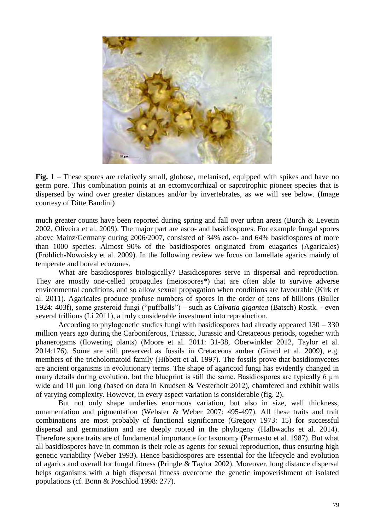

**Fig. 1** – These spores are relatively small, globose, melanised, equipped with spikes and have no germ pore. This combination points at an ectomycorrhizal or saprotrophic pioneer species that is dispersed by wind over greater distances and/or by invertebrates, as we will see below. (Image courtesy of Ditte Bandini)

much greater counts have been reported during spring and fall over urban areas (Burch & Levetin 2002, Oliveira et al. 2009). The major part are asco- and basidiospores. For example fungal spores above Mainz/Germany during 2006/2007, consisted of 34% asco- and 64% basidiospores of more than 1000 species. Almost 90% of the basidiospores originated from euagarics (Agaricales) (Fröhlich-Nowoisky et al. 2009). In the following review we focus on lamellate agarics mainly of temperate and boreal ecozones.

What are basidiospores biologically? Basidiospores serve in dispersal and reproduction. They are mostly one-celled propagules (meiospores\*) that are often able to survive adverse environmental conditions, and so allow sexual propagation when conditions are favourable (Kirk et al. 2011). Agaricales produce profuse numbers of spores in the order of tens of billions (Buller 1924: 403f), some gasteroid fungi ("puffballs") – such as *Calvatia gigantea* (Batsch) Rostk. - even several trillions (Li 2011), a truly considerable investment into reproduction.

According to phylogenetic studies fungi with basidiospores had already appeared 130 – 330 million years ago during the Carboniferous, Triassic, Jurassic and Cretaceous periods, together with phanerogams (flowering plants) (Moore et al. 2011: 31-38, Oberwinkler 2012, Taylor et al. 2014:176). Some are still preserved as fossils in Cretaceous amber (Girard et al. 2009), e.g. members of the tricholomatoid family (Hibbett et al. 1997). The fossils prove that basidiomycetes are ancient organisms in evolutionary terms. The shape of agaricoid fungi has evidently changed in many details during evolution, but the blueprint is still the same. Basidiospores are typically 6 μm wide and 10 μm long (based on data in Knudsen & Vesterholt 2012), chamfered and exhibit walls of varying complexity. However, in every aspect variation is considerable (fig. 2).

But not only shape underlies enormous variation, but also in size, wall thickness, ornamentation and pigmentation (Webster & Weber 2007: 495-497). All these traits and trait combinations are most probably of functional significance (Gregory 1973: 15) for successful dispersal and germination and are deeply rooted in the phylogeny (Halbwachs et al. 2014). Therefore spore traits are of fundamental importance for taxonomy (Parmasto et al. 1987). But what all basidiospores have in common is their role as agents for sexual reproduction, thus ensuring high genetic variability (Weber 1993). Hence basidiospores are essential for the lifecycle and evolution of agarics and overall for fungal fitness (Pringle & Taylor 2002). Moreover, long distance dispersal helps organisms with a high dispersal fitness overcome the genetic impoverishment of isolated populations (cf. Bonn & Poschlod 1998: 277).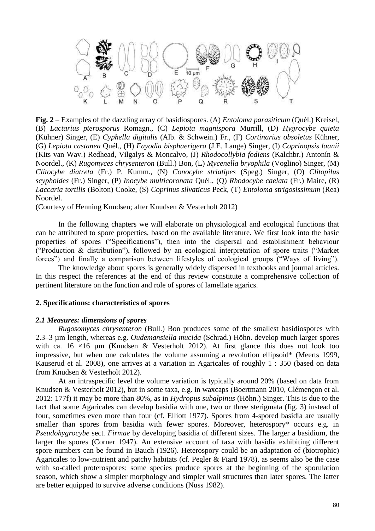

**Fig. 2** – Examples of the dazzling array of basidiospores. (A) *Entoloma parasiticum* (Quél.) Kreisel, (B) *Lactarius pterosporus* Romagn., (C) *Lepiota magnispora* Murrill, (D) *Hygrocybe quieta* (Kühner) Singer, (E) *Cyphella digitalis* (Alb. & Schwein.) Fr., (F) *Cortinarius obsoletus* Kühner, (G) *Lepiota castanea* Quél., (H) *Fayodia bisphaerigera* (J.E. Lange) Singer, (I) *Coprinopsis laanii* (Kits van Wav.) Redhead, Vilgalys & Moncalvo, (J) *Rhodocollybia fodiens* (Kalchbr.) Antonín & Noordel., (K) *Rugomyces chrysenteron* (Bull.) Bon, (L) *Mycenella bryophila* (Voglino) Singer, (M) *Clitocybe diatreta* (Fr.) P. Kumm., (N) *Conocybe striatipes* (Speg.) Singer, (O) *Clitopilus scyphoides* (Fr.) Singer, (P) *Inocybe multicoronata* Quél., (Q) *Rhodocybe caelata* (Fr.) Maire, (R) *Laccaria tortilis* (Bolton) Cooke, (S) *Coprinus silvaticus* Peck, (T) *Entoloma strigosissimum* (Rea) Noordel.

(Courtesy of Henning Knudsen; after Knudsen & Vesterholt 2012)

In the following chapters we will elaborate on physiological and ecological functions that can be attributed to spore properties, based on the available literature. We first look into the basic properties of spores ("Specifications"), then into the dispersal and establishment behaviour ("Production & distribution"), followed by an ecological interpretation of spore traits ("Market") forces") and finally a comparison between lifestyles of ecological groups ("Ways of living").

The knowledge about spores is generally widely dispersed in textbooks and journal articles. In this respect the references at the end of this review constitute a comprehensive collection of pertinent literature on the function and role of spores of lamellate agarics.

## **2. Specifications: characteristics of spores**

### *2.1 Measures: dimensions of spores*

*Rugosomyces chrysenteron* (Bull.) Bon produces some of the smallest basidiospores with 2.3–3 µm length, whereas e.g. *Oudemansiella mucida* (Schrad.) Höhn. develop much larger spores with ca. 16  $\times$ 16 µm (Knudsen & Vesterholt 2012). At first glance this does not look too impressive, but when one calculates the volume assuming a revolution ellipsoid\* (Meerts 1999, Kauserud et al. 2008), one arrives at a variation in Agaricales of roughly 1 : 350 (based on data from Knudsen & Vesterholt 2012).

At an intraspecific level the volume variation is typically around 20% (based on data from Knudsen & Vesterholt 2012), but in some taxa, e.g. in waxcaps (Boertmann 2010, Clémençon et al. 2012: 177f) it may be more than 80%, as in *Hydropus subalpinus* (Höhn.) Singer. This is due to the fact that some Agaricales can develop basidia with one, two or three sterigmata (fig. 3) instead of four, sometimes even more than four (cf. Elliott 1977). Spores from 4-spored basidia are usually smaller than spores from basidia with fewer spores. Moreover, heterospory\* occurs e.g. in *Pseudohygrocybe* sect*. Firmae* by developing basidia of different sizes. The larger a basidium, the larger the spores (Corner 1947). An extensive account of taxa with basidia exhibiting different spore numbers can be found in Bauch (1926). Heterospory could be an adaptation of (biotrophic) Agaricales to low-nutrient and patchy habitats (cf. Pegler & Fiard 1978), as seems also be the case with so-called proterospores: some species produce spores at the beginning of the sporulation season, which show a simpler morphology and simpler wall structures than later spores. The latter are better equipped to survive adverse conditions (Nuss 1982).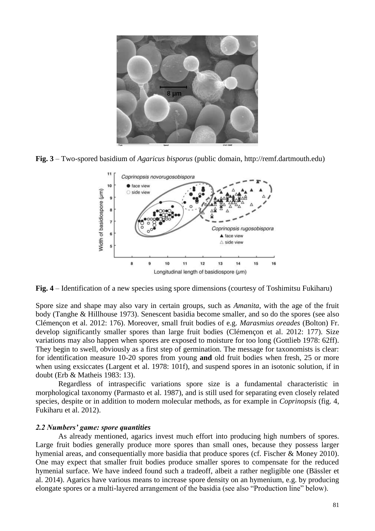

**Fig. 3** – Two-spored basidium of *Agaricus bisporus* (public domain, http://remf.dartmouth.edu)



**Fig. 4** – Identification of a new species using spore dimensions (courtesy of Toshimitsu Fukiharu)

Spore size and shape may also vary in certain groups, such as *Amanita*, with the age of the fruit body (Tanghe & Hillhouse 1973). Senescent basidia become smaller, and so do the spores (see also Clémençon et al. 2012: 176). Moreover, small fruit bodies of e.g. *Marasmius oreades* (Bolton) Fr. develop significantly smaller spores than large fruit bodies (Clémençon et al. 2012: 177). Size variations may also happen when spores are exposed to moisture for too long (Gottlieb 1978: 62ff). They begin to swell, obviously as a first step of germination. The message for taxonomists is clear: for identification measure 10-20 spores from young **and** old fruit bodies when fresh, 25 or more when using exsiccates (Largent et al. 1978: 101f), and suspend spores in an isotonic solution, if in doubt (Erb & Matheis 1983: 13).

Regardless of intraspecific variations spore size is a fundamental characteristic in morphological taxonomy (Parmasto et al. 1987), and is still used for separating even closely related species, despite or in addition to modern molecular methods, as for example in *Coprinopsis* (fig. 4, Fukiharu et al. 2012).

# *2.2 Numbers' game: spore quantities*

As already mentioned, agarics invest much effort into producing high numbers of spores. Large fruit bodies generally produce more spores than small ones, because they possess larger hymenial areas, and consequentially more basidia that produce spores (cf. Fischer & Money 2010). One may expect that smaller fruit bodies produce smaller spores to compensate for the reduced hymenial surface. We have indeed found such a tradeoff, albeit a rather negligible one (Bässler et al. 2014). Agarics have various means to increase spore density on an hymenium, e.g. by producing elongate spores or a multi-layered arrangement of the basidia (see also "Production line" below).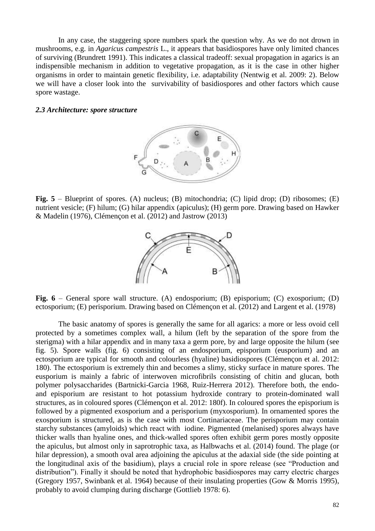In any case, the staggering spore numbers spark the question why. As we do not drown in mushrooms, e.g. in *Agaricus campestris* L., it appears that basidiospores have only limited chances of surviving (Brundrett 1991). This indicates a classical tradeoff: sexual propagation in agarics is an indispensible mechanism in addition to vegetative propagation, as it is the case in other higher organisms in order to maintain genetic flexibility, i.e. adaptability (Nentwig et al. 2009: 2). Below we will have a closer look into the survivability of basidiospores and other factors which cause spore wastage.

#### *2.3 Architecture: spore structure*



Fig. 5 – Blueprint of spores. (A) nucleus; (B) mitochondria; (C) lipid drop; (D) ribosomes; (E) nutrient vesicle; (F) hilum; (G) hilar appendix (apiculus); (H) germ pore. Drawing based on Hawker & Madelin (1976), Clémençon et al. (2012) and Jastrow (2013)



**Fig. 6** – General spore wall structure. (A) endosporium; (B) episporium; (C) exosporium; (D) ectosporium; (E) perisporium. Drawing based on Clémençon et al. (2012) and Largent et al. (1978)

The basic anatomy of spores is generally the same for all agarics: a more or less ovoid cell protected by a sometimes complex wall, a hilum (left by the separation of the spore from the sterigma) with a hilar appendix and in many taxa a germ pore, by and large opposite the hilum (see fig. 5). Spore walls (fig. 6) consisting of an endosporium, episporium (eusporium) and an ectosporium are typical for smooth and colourless (hyaline) basidiospores (Clémençon et al. 2012: 180). The ectosporium is extremely thin and becomes a slimy, sticky surface in mature spores. The eusporium is mainly a fabric of interwoven microfibrils consisting of chitin and glucan, both polymer polysaccharides (Bartnicki-Garcia 1968, Ruiz-Herrera 2012). Therefore both, the endoand episporium are resistant to hot potassium hydroxide contrary to protein-dominated wall structures, as in coloured spores (Clémençon et al. 2012: 180f). In coloured spores the episporium is followed by a pigmented exosporium and a perisporium (myxosporium). In ornamented spores the exosporium is structured, as is the case with most Cortinariaceae. The perisporium may contain starchy substances (amyloids) which react with iodine. Pigmented (melanised) spores always have thicker walls than hyaline ones, and thick-walled spores often exhibit germ pores mostly opposite the apiculus, but almost only in saprotrophic taxa, as Halbwachs et al. (2014) found. The plage (or hilar depression), a smooth oval area adjoining the apiculus at the adaxial side (the side pointing at the longitudinal axis of the basidium), plays a crucial role in spore release (see "Production and distribution"). Finally it should be noted that hydrophobic basidiospores may carry electric charges (Gregory 1957, Swinbank et al. 1964) because of their insulating properties (Gow & Morris 1995), probably to avoid clumping during discharge (Gottlieb 1978: 6).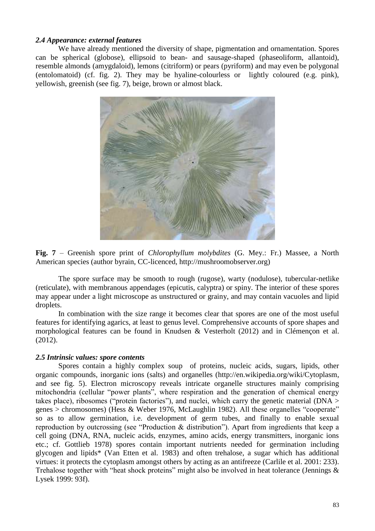# *2.4 Appearance: external features*

We have already mentioned the diversity of shape, pigmentation and ornamentation. Spores can be spherical (globose), ellipsoid to bean- and sausage-shaped (phaseoliform, allantoid), resemble almonds (amygdaloid), lemons (citriform) or pears (pyriform) and may even be polygonal (entolomatoid) (cf. fig. 2). They may be hyaline-colourless or lightly coloured (e.g. pink), yellowish, greenish (see fig. 7), beige, brown or almost black.



**Fig. 7** – Greenish spore print of *Chlorophyllum molybdites* (G. Mey.: Fr.) Massee, a North American species (author byrain, CC-licenced, http://mushroomobserver.org)

The spore surface may be smooth to rough (rugose), warty (nodulose), tubercular-netlike (reticulate), with membranous appendages (epicutis, calyptra) or spiny. The interior of these spores may appear under a light microscope as unstructured or grainy, and may contain vacuoles and lipid droplets.

In combination with the size range it becomes clear that spores are one of the most useful features for identifying agarics, at least to genus level. Comprehensive accounts of spore shapes and morphological features can be found in Knudsen & Vesterholt (2012) and in Clémençon et al. (2012).

# *2.5 Intrinsic values: spore contents*

Spores contain a highly complex soup of proteins, nucleic acids, sugars, lipids, other organic compounds, inorganic ions (salts) and organelles (http://en.wikipedia.org/wiki/Cytoplasm, and see fig. 5). Electron microscopy reveals intricate organelle structures mainly comprising mitochondria (cellular "power plants", where respiration and the generation of chemical energy takes place), ribosomes ("protein factories"), and nuclei, which carry the genetic material ( $DNA$ ) genes > chromosomes) (Hess & Weber 1976, McLaughlin 1982). All these organelles "cooperate" so as to allow germination, i.e. development of germ tubes, and finally to enable sexual reproduction by outcrossing (see "Production  $\&$  distribution"). Apart from ingredients that keep a cell going (DNA, RNA, nucleic acids, enzymes, amino acids, energy transmitters, inorganic ions etc.; cf. Gottlieb 1978) spores contain important nutrients needed for germination including glycogen and lipids\* (Van Etten et al. 1983) and often trehalose, a sugar which has additional virtues: it protects the cytoplasm amongst others by acting as an antifreeze (Carlile et al. 2001: 233). Trehalose together with "heat shock proteins" might also be involved in heat tolerance (Jennings  $\&$ Lysek 1999: 93f).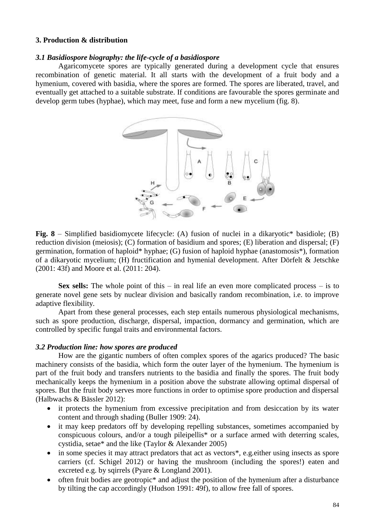# **3. Production & distribution**

### *3.1 Basidiospore biography: the life-cycle of a basidiospore*

Agaricomycete spores are typically generated during a development cycle that ensures recombination of genetic material. It all starts with the development of a fruit body and a hymenium, covered with basidia, where the spores are formed. The spores are liberated, travel, and eventually get attached to a suitable substrate. If conditions are favourable the spores germinate and develop germ tubes (hyphae), which may meet, fuse and form a new mycelium (fig. 8).



**Fig. 8** – Simplified basidiomycete lifecycle: (A) fusion of nuclei in a dikaryotic\* basidiole; (B) reduction division (meiosis); (C) formation of basidium and spores; (E) liberation and dispersal; (F) germination, formation of haploid\* hyphae; (G) fusion of haploid hyphae (anastomosis\*), formation of a dikaryotic mycelium; (H) fructification and hymenial development. After Dörfelt & Jetschke (2001: 43f) and Moore et al. (2011: 204).

**Sex sells:** The whole point of this – in real life an even more complicated process – is to generate novel gene sets by nuclear division and basically random recombination, i.e. to improve adaptive flexibility.

Apart from these general processes, each step entails numerous physiological mechanisms, such as spore production, discharge, dispersal, impaction, dormancy and germination, which are controlled by specific fungal traits and environmental factors.

#### *3.2 Production line: how spores are produced*

How are the gigantic numbers of often complex spores of the agarics produced? The basic machinery consists of the basidia, which form the outer layer of the hymenium. The hymenium is part of the fruit body and transfers nutrients to the basidia and finally the spores. The fruit body mechanically keeps the hymenium in a position above the substrate allowing optimal dispersal of spores. But the fruit body serves more functions in order to optimise spore production and dispersal (Halbwachs & Bässler 2012):

- it protects the hymenium from excessive precipitation and from desiccation by its water content and through shading (Buller 1909: 24).
- it may keep predators off by developing repelling substances, sometimes accompanied by conspicuous colours, and/or a tough pileipellis\* or a surface armed with deterring scales, cystidia, setae\* and the like (Taylor & Alexander 2005)
- in some species it may attract predators that act as vectors<sup>\*</sup>, e.g. either using insects as spore carriers (cf. Schigel 2012) or having the mushroom (including the spores!) eaten and excreted e.g. by sqirrels (Pyare & Longland 2001).
- often fruit bodies are geotropic\* and adjust the position of the hymenium after a disturbance by tilting the cap accordingly (Hudson 1991: 49f), to allow free fall of spores.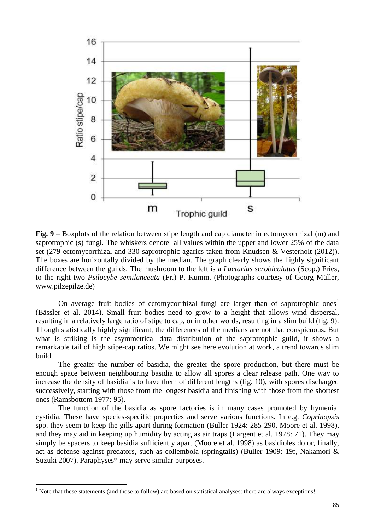

**Fig. 9** – Boxplots of the relation between stipe length and cap diameter in ectomycorrhizal (m) and saprotrophic (s) fungi. The whiskers denote all values within the upper and lower 25% of the data set (279 ectomycorrhizal and 330 saprotrophic agarics taken from Knudsen & Vesterholt (2012)). The boxes are horizontally divided by the median. The graph clearly shows the highly significant difference between the guilds. The mushroom to the left is a *Lactarius scrobiculatus* (Scop.) Fries, to the right two *Psilocybe semilanceata* (Fr.) P. Kumm. (Photographs courtesy of Georg Müller, www.pilzepilze.de)

On average fruit bodies of ectomycorrhizal fungi are larger than of saprotrophic ones<sup>1</sup> (Bässler et al. 2014). Small fruit bodies need to grow to a height that allows wind dispersal, resulting in a relatively large ratio of stipe to cap, or in other words, resulting in a slim build (fig. 9). Though statistically highly significant, the differences of the medians are not that conspicuous. But what is striking is the asymmetrical data distribution of the saprotrophic guild, it shows a remarkable tail of high stipe-cap ratios. We might see here evolution at work, a trend towards slim build.

The greater the number of basidia, the greater the spore production, but there must be enough space between neighbouring basidia to allow all spores a clear release path. One way to increase the density of basidia is to have them of different lengths (fig. 10), with spores discharged successively, starting with those from the longest basidia and finishing with those from the shortest ones (Ramsbottom 1977: 95).

The function of the basidia as spore factories is in many cases promoted by hymenial cystidia. These have species-specific properties and serve various functions. In e.g. *Coprinopsis* spp. they seem to keep the gills apart during formation (Buller 1924: 285-290, Moore et al. 1998), and they may aid in keeping up humidity by acting as air traps (Largent et al. 1978: 71). They may simply be spacers to keep basidia sufficiently apart (Moore et al. 1998) as basidioles do or, finally, act as defense against predators, such as collembola (springtails) (Buller 1909: 19f, Nakamori & Suzuki 2007). Paraphyses\* may serve similar purposes.

-

<sup>&</sup>lt;sup>1</sup> Note that these statements (and those to follow) are based on statistical analyses: there are always exceptions!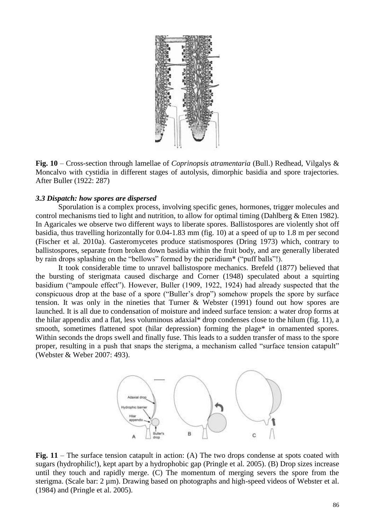

**Fig. 10** – Cross-section through lamellae of *Coprinopsis atramentaria* (Bull.) Redhead, Vilgalys & Moncalvo with cystidia in different stages of autolysis, dimorphic basidia and spore trajectories. After Buller (1922: 287)

## *3.3 Dispatch: how spores are dispersed*

Sporulation is a complex process, involving specific genes, hormones, trigger molecules and control mechanisms tied to light and nutrition, to allow for optimal timing (Dahlberg & Etten 1982). In Agaricales we observe two different ways to liberate spores. Ballistospores are violently shot off basidia, thus travelling horizontally for 0.04-1.83 mm (fig. 10) at a speed of up to 1.8 m per second (Fischer et al. 2010a). Gasteromycetes produce statismospores (Dring 1973) which, contrary to ballistospores, separate from broken down basidia within the fruit body, and are generally liberated by rain drops splashing on the "bellows" formed by the peridium\* ("puff balls"!).

It took considerable time to unravel ballistospore mechanics. Brefeld (1877) believed that the bursting of sterigmata caused discharge and Corner (1948) speculated about a squirting basidium ("ampoule effect"). However, Buller (1909, 1922, 1924) had already suspected that the conspicuous drop at the base of a spore ("Buller's drop") somehow propels the spore by surface tension. It was only in the nineties that Turner & Webster (1991) found out how spores are launched. It is all due to condensation of moisture and indeed surface tension: a water drop forms at the hilar appendix and a flat, less voluminous adaxial\* drop condenses close to the hilum (fig. 11), a smooth, sometimes flattened spot (hilar depression) forming the plage\* in ornamented spores. Within seconds the drops swell and finally fuse. This leads to a sudden transfer of mass to the spore proper, resulting in a push that snaps the sterigma, a mechanism called "surface tension catapult" (Webster & Weber 2007: 493).



Fig. 11 – The surface tension catapult in action: (A) The two drops condense at spots coated with sugars (hydrophilic!), kept apart by a hydrophobic gap (Pringle et al. 2005). (B) Drop sizes increase until they touch and rapidly merge. (C) The momentum of merging severs the spore from the sterigma. (Scale bar: 2 um). Drawing based on photographs and high-speed videos of Webster et al. (1984) and (Pringle et al. 2005).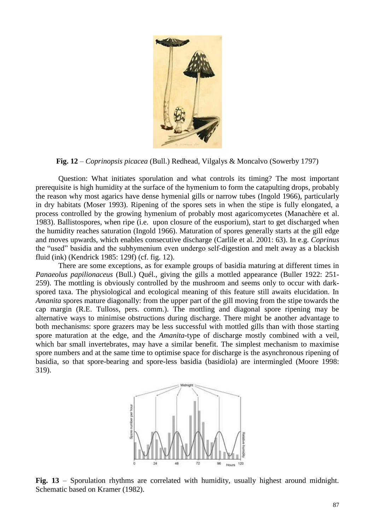

**Fig. 12** – *Coprinopsis picacea* (Bull.) Redhead, Vilgalys & Moncalvo (Sowerby 1797)

Question: What initiates sporulation and what controls its timing? The most important prerequisite is high humidity at the surface of the hymenium to form the catapulting drops, probably the reason why most agarics have dense hymenial gills or narrow tubes (Ingold 1966), particularly in dry habitats (Moser 1993). Ripening of the spores sets in when the stipe is fully elongated, a process controlled by the growing hymenium of probably most agaricomycetes (Manachère et al. 1983). Ballistospores, when ripe (i.e. upon closure of the eusporium), start to get discharged when the humidity reaches saturation (Ingold 1966). Maturation of spores generally starts at the gill edge and moves upwards, which enables consecutive discharge (Carlile et al. 2001: 63). In e.g. *Coprinus* the "used" basidia and the subhymenium even undergo self-digestion and melt away as a blackish fluid (ink) (Kendrick 1985: 129f) (cf. fig. 12).

There are some exceptions, as for example groups of basidia maturing at different times in *Panaeolus papilionaceus* (Bull.) Quél., giving the gills a mottled appearance (Buller 1922: 251- 259). The mottling is obviously controlled by the mushroom and seems only to occur with darkspored taxa. The physiological and ecological meaning of this feature still awaits elucidation. In *Amanita* spores mature diagonally: from the upper part of the gill moving from the stipe towards the cap margin (R.E. Tulloss, pers. comm.). The mottling and diagonal spore ripening may be alternative ways to minimise obstructions during discharge. There might be another advantage to both mechanisms: spore grazers may be less successful with mottled gills than with those starting spore maturation at the edge, and the *Amanita*-type of discharge mostly combined with a veil, which bar small invertebrates, may have a similar benefit. The simplest mechanism to maximise spore numbers and at the same time to optimise space for discharge is the asynchronous ripening of basidia, so that spore-bearing and spore-less basidia (basidiola) are intermingled (Moore 1998: 319).



Fig. 13 – Sporulation rhythms are correlated with humidity, usually highest around midnight. Schematic based on Kramer (1982).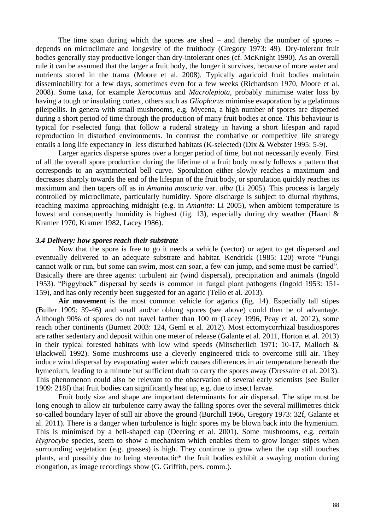The time span during which the spores are shed – and thereby the number of spores – depends on microclimate and longevity of the fruitbody (Gregory 1973: 49). Dry-tolerant fruit bodies generally stay productive longer than dry-intolerant ones (cf. McKnight 1990). As an overall rule it can be assumed that the larger a fruit body, the longer it survives, because of more water and nutrients stored in the trama (Moore et al. 2008). Typically agaricoid fruit bodies maintain disseminability for a few days, sometimes even for a few weeks (Richardson 1970, Moore et al. 2008). Some taxa, for example *Xerocomus* and *Macrolepiota*, probably minimise water loss by having a tough or insulating cortex, others such as *Gliophorus* minimise evaporation by a gelatinous pileipellis. In genera with small mushrooms, e.g. Mycena, a high number of spores are dispersed during a short period of time through the production of many fruit bodies at once. This behaviour is typical for r-selected fungi that follow a ruderal strategy in having a short lifespan and rapid reproduction in disturbed environments. In contrast the combative or competitive life strategy entails a long life expectancy in less disturbed habitats (K-selected) (Dix & Webster 1995: 5-9).

Larger agarics disperse spores over a longer period of time, but not necessarily evenly. First of all the overall spore production during the lifetime of a fruit body mostly follows a pattern that corresponds to an asymmetrical bell curve. Sporulation either slowly reaches a maximum and decreases sharply towards the end of the lifespan of the fruit body, or sporulation quickly reaches its maximum and then tapers off as in *Amanita muscaria* var. *alba* (Li 2005). This process is largely controlled by microclimate, particularly humidity. Spore discharge is subject to diurnal rhythms, reaching maxima approaching midnight (e.g. in *Amanita*: Li 2005), when ambient temperature is lowest and consequently humidity is highest (fig. 13), especially during dry weather (Haard & Kramer 1970, Kramer 1982, Lacey 1986).

#### *3.4 Delivery: how spores reach their substrate*

Now that the spore is free to go it needs a vehicle (vector) or agent to get dispersed and eventually delivered to an adequate substrate and habitat. Kendrick (1985: 120) wrote "Fungi cannot walk or run, but some can swim, most can soar, a few can jump, and some must be carried". Basically there are three agents: turbulent air (wind dispersal), precipitation and animals (Ingold 1953). "Piggyback" dispersal by seeds is common in fungal plant pathogens (Ingold 1953: 151-159), and has only recently been suggested for an agaric (Tello et al. 2013).

**Air movement** is the most common vehicle for agarics (fig. 14). Especially tall stipes (Buller 1909: 39-46) and small and/or oblong spores (see above) could then be of advantage. Although 90% of spores do not travel farther than 100 m (Lacey 1996, Peay et al. 2012), some reach other continents (Burnett 2003: 124, Geml et al. 2012). Most ectomycorrhizal basidiospores are rather sedentary and deposit within one meter of release (Galante et al. 2011, Horton et al. 2013) in their typical forested habitats with low wind speeds (Mitscherlich 1971: 10-17, Malloch & Blackwell 1992). Some mushrooms use a cleverly engineered trick to overcome still air. They induce wind dispersal by evaporating water which causes differences in air temperature beneath the hymenium, leading to a minute but sufficient draft to carry the spores away (Dressaire et al. 2013). This phenomenon could also be relevant to the observation of several early scientists (see Buller 1909: 218f) that fruit bodies can significantly heat up, e.g. due to insect larvae.

Fruit body size and shape are important determinants for air dispersal. The stipe must be long enough to allow air turbulence carry away the falling spores over the several millimetres thick so-called boundary layer of still air above the ground (Burchill 1966, Gregory 1973: 32f, Galante et al. 2011). There is a danger when turbulence is high: spores my be blown back into the hymenium. This is minimised by a bell-shaped cap (Deering et al. 2001). Some mushrooms, e.g. certain *Hygrocybe* species, seem to show a mechanism which enables them to grow longer stipes when surrounding vegetation (e.g. grasses) is high. They continue to grow when the cap still touches plants, and possibly due to being stereotactic\* the fruit bodies exhibit a swaying motion during elongation, as image recordings show (G. Griffith, pers. comm.).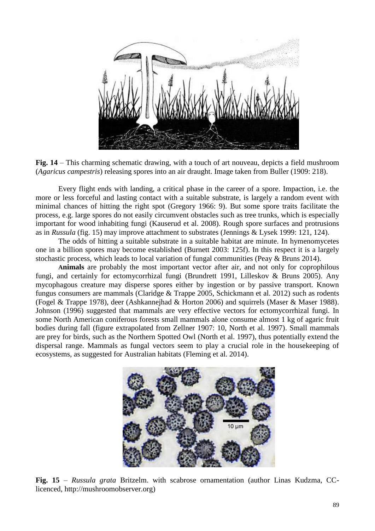

**Fig. 14** – This charming schematic drawing, with a touch of art nouveau, depicts a field mushroom (*Agaricus campestris*) releasing spores into an air draught. Image taken from Buller (1909: 218).

Every flight ends with landing, a critical phase in the career of a spore. Impaction, i.e. the more or less forceful and lasting contact with a suitable substrate, is largely a random event with minimal chances of hitting the right spot (Gregory 1966: 9). But some spore traits facilitate the process, e.g. large spores do not easily circumvent obstacles such as tree trunks, which is especially important for wood inhabiting fungi (Kauserud et al. 2008). Rough spore surfaces and protrusions as in *Russula* (fig. 15) may improve attachment to substrates (Jennings & Lysek 1999: 121, 124).

The odds of hitting a suitable substrate in a suitable habitat are minute. In hymenomycetes one in a billion spores may become established (Burnett 2003: 125f). In this respect it is a largely stochastic process, which leads to local variation of fungal communities (Peay & Bruns 2014).

**Animals** are probably the most important vector after air, and not only for coprophilous fungi, and certainly for ectomycorrhizal fungi (Brundrett 1991, Lilleskov & Bruns 2005). Any mycophagous creature may disperse spores either by ingestion or by passive transport. Known fungus consumers are mammals (Claridge & Trappe 2005, Schickmann et al. 2012) such as rodents (Fogel & Trappe 1978), deer (Ashkannejhad & Horton 2006) and squirrels (Maser & Maser 1988). Johnson (1996) suggested that mammals are very effective vectors for ectomycorrhizal fungi. In some North American coniferous forests small mammals alone consume almost 1 kg of agaric fruit bodies during fall (figure extrapolated from Zellner 1907: 10, North et al. 1997). Small mammals are prey for birds, such as the Northern Spotted Owl (North et al. 1997), thus potentially extend the dispersal range. Mammals as fungal vectors seem to play a crucial role in the housekeeping of ecosystems, as suggested for Australian habitats (Fleming et al. 2014).



**Fig. 15** – *Russula grata* Britzelm. with scabrose ornamentation (author Linas Kudzma, CClicenced, http://mushroomobserver.org)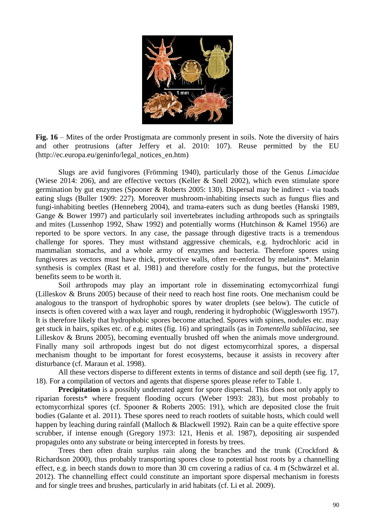

**Fig. 16** – Mites of the order Prostigmata are commonly present in soils. Note the diversity of hairs and other protrusions (after Jeffery et al. 2010: 107). Reuse permitted by the EU (http://ec.europa.eu/geninfo/legal\_notices\_en.htm)

Slugs are avid fungivores (Frömming 1940), particularly those of the Genus *Limacidae* (Wiese 2014: 206), and are effective vectors (Keller & Snell 2002), which even stimulate spore germination by gut enzymes (Spooner & Roberts 2005: 130). Dispersal may be indirect - via toads eating slugs (Buller 1909: 227). Moreover mushroom-inhabiting insects such as fungus flies and fungi-inhabiting beetles (Henneberg 2004), and trama-eaters such as dung beetles (Hanski 1989, Gange & Bower 1997) and particularly soil invertebrates including arthropods such as springtails and mites (Lussenhop 1992, Shaw 1992) and potentially worms (Hutchinson & Kamel 1956) are reported to be spore vectors. In any case, the passage through digestive tracts is a tremendous challenge for spores. They must withstand aggressive chemicals, e.g. hydrochloric acid in mammalian stomachs, and a whole army of enzymes and bacteria. Therefore spores using fungivores as vectors must have thick, protective walls, often re-enforced by melanins\*. Melanin synthesis is complex (Rast et al. 1981) and therefore costly for the fungus, but the protective benefits seem to be worth it.

Soil arthropods may play an important role in disseminating ectomycorrhizal fungi (Lilleskov & Bruns 2005) because of their need to reach host fine roots. One mechanism could be analogous to the transport of hydrophobic spores by water droplets (see below). The cuticle of insects is often covered with a wax layer and rough, rendering it hydrophobic (Wigglesworth 1957). It is therefore likely that hydrophobic spores become attached. Spores with spines, nodules etc. may get stuck in hairs, spikes etc. of e.g. mites (fig. 16) and springtails (as in *Tomentella sublilacina*, see Lilleskov & Bruns 2005), becoming eventually brushed off when the animals move underground. Finally many soil arthropods ingest but do not digest ectomycorrhizal spores, a dispersal mechanism thought to be important for forest ecosystems, because it assists in recovery after disturbance (cf. Maraun et al. 1998).

All these vectors disperse to different extents in terms of distance and soil depth (see fig. 17, 18). For a compilation of vectors and agents that disperse spores please refer to Table 1.

**Precipitation** is a possibly underrated agent for spore dispersal. This does not only apply to riparian forests\* where frequent flooding occurs (Weber 1993: 283), but most probably to ectomycorrhizal spores (cf. Spooner & Roberts 2005: 191), which are deposited close the fruit bodies (Galante et al. 2011). These spores need to reach rootlets of suitable hosts, which could well happen by leaching during rainfall (Malloch & Blackwell 1992). Rain can be a quite effective spore scrubber, if intense enough (Gregory 1973: 121, Henis et al. 1987), depositing air suspended propagules onto any substrate or being intercepted in forests by trees.

Trees then often drain surplus rain along the branches and the trunk (Crockford & Richardson 2000), thus probably transporting spores close to potential host roots by a channelling effect, e.g. in beech stands down to more than 30 cm covering a radius of ca. 4 m (Schwärzel et al. 2012). The channelling effect could constitute an important spore dispersal mechanism in forests and for single trees and brushes, particularly in arid habitats (cf. Li et al. 2009).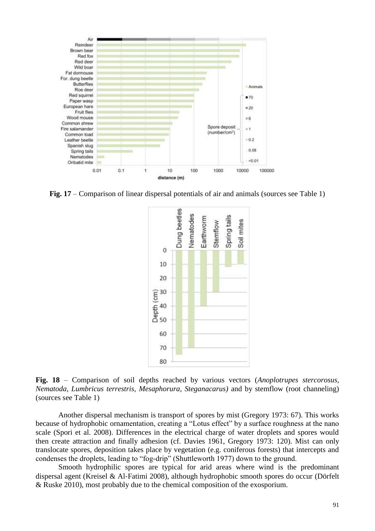

**Fig. 17** – Comparison of linear dispersal potentials of air and animals (sources see Table 1)



**Fig. 18** – Comparison of soil depths reached by various vectors (*Anoplotrupes stercorosus, Nematoda, Lumbricus terrestris, Mesaphorura, Steganacarus)* and by stemflow (root channeling) (sources see Table 1)

Another dispersal mechanism is transport of spores by mist (Gregory 1973: 67). This works because of hydrophobic ornamentation, creating a "Lotus effect" by a surface roughness at the nano scale (Spori et al. 2008). Differences in the electrical charge of water droplets and spores would then create attraction and finally adhesion (cf. Davies 1961, Gregory 1973: 120). Mist can only translocate spores, deposition takes place by vegetation (e.g. coniferous forests) that intercepts and condenses the droplets, leading to "fog-drip" (Shuttleworth 1977) down to the ground.

Smooth hydrophilic spores are typical for arid areas where wind is the predominant dispersal agent (Kreisel & Al‐Fatimi 2008), although hydrophobic smooth spores do occur (Dörfelt & Ruske 2010), most probably due to the chemical composition of the exosporium.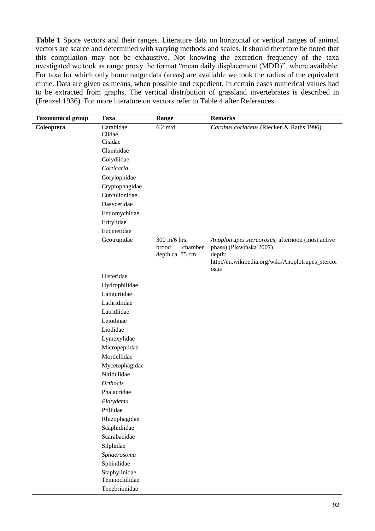**Table 1** Spore vectors and their ranges. Literature data on horizontal or vertical ranges of animal vectors are scarce and determined with varying methods and scales. It should therefore be noted that this compilation may not be exhaustive. Not knowing the excretion frequency of the taxa nvestigated we took as range proxy the format "mean daily displacement (MDD)", where available. For taxa for which only home range data (areas) are available we took the radius of the equivalent circle. Data are given as means, when possible and expedient. In certain cases numerical values had to be extracted from graphs. The vertical distribution of grassland invertebrates is described in (Frenzel 1936). For more literature on vectors refer to Table 4 after References.

| <b>Taxonomical group</b> | <b>Taxa</b>       | Range             | <b>Remarks</b>                                    |
|--------------------------|-------------------|-------------------|---------------------------------------------------|
| Coleoptera               | Carabidae         | $6.2 \text{ m/d}$ | Carabus coriaceus (Riecken & Raths 1996)          |
|                          | Ciidae<br>Cisidae |                   |                                                   |
|                          | Clambidae         |                   |                                                   |
|                          | Colydiidae        |                   |                                                   |
|                          | Corticaria        |                   |                                                   |
|                          | Corylophidae      |                   |                                                   |
|                          | Cryptophagidae    |                   |                                                   |
|                          | Curculionidae     |                   |                                                   |
|                          | Dasyceridae       |                   |                                                   |
|                          | Endomychidae      |                   |                                                   |
|                          | Eritylidae        |                   |                                                   |
|                          | Eucinetidae       |                   |                                                   |
|                          | Geotrupidae       | 300 m/6 hrs,      | Anoplotrupes stercorosus, afternoon (most active  |
|                          |                   | brood<br>chamber  | phase) (Plewińska 2007)                           |
|                          |                   | depth ca. 75 cm   | depth:                                            |
|                          |                   |                   | http://en.wikipedia.org/wiki/Anoplotrupes_stercor |
|                          | Histeridae        |                   | osus                                              |
|                          | Hydrophilidae     |                   |                                                   |
|                          | Languriidae       |                   |                                                   |
|                          | Lathridiidae      |                   |                                                   |
|                          | Latridiidae       |                   |                                                   |
|                          | Leiodinae         |                   |                                                   |
|                          | Liodidae          |                   |                                                   |
|                          | Lymexylidae       |                   |                                                   |
|                          | Micropeplidae     |                   |                                                   |
|                          | Mordellidae       |                   |                                                   |
|                          | Mycetophagidae    |                   |                                                   |
|                          | Nitidulidae       |                   |                                                   |
|                          | Orthocis          |                   |                                                   |
|                          | Phalacridae       |                   |                                                   |
|                          | Platydema         |                   |                                                   |
|                          | Ptiliidae         |                   |                                                   |
|                          | Rhizophagidae     |                   |                                                   |
|                          | Scaphidiidae      |                   |                                                   |
|                          | Scarabaeidae      |                   |                                                   |
|                          | Silphidae         |                   |                                                   |
|                          | Sphaerosoma       |                   |                                                   |
|                          | Sphindidae        |                   |                                                   |
|                          | Staphylinidae     |                   |                                                   |
|                          | Temnochilidae     |                   |                                                   |
|                          | Tenebrionidae     |                   |                                                   |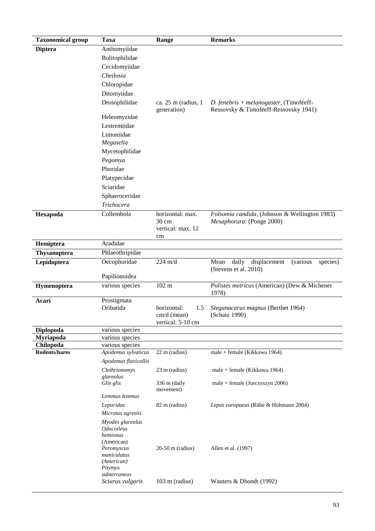| <b>Taxonomical group</b> | <b>Taxa</b>                           | Range                              | <b>Remarks</b>                                                                 |
|--------------------------|---------------------------------------|------------------------------------|--------------------------------------------------------------------------------|
| <b>Diptera</b>           | Anthomyiidae                          |                                    |                                                                                |
|                          | Bolitophilidae                        |                                    |                                                                                |
|                          | Cecidomyiidae                         |                                    |                                                                                |
|                          | Cheilosia                             |                                    |                                                                                |
|                          | Chloropidae                           |                                    |                                                                                |
|                          | Ditomyiidae                           |                                    |                                                                                |
|                          | Drosophilidae                         | ca. $25 \text{ m}$ (radius, 1)     | D. fenebris + melanogaster, (Timoféeff-                                        |
|                          |                                       | generation)                        | Ressovsky & Timoféeff-Ressovsky 1941)                                          |
|                          | Heleomyzidae                          |                                    |                                                                                |
|                          | Lestremiidae                          |                                    |                                                                                |
|                          | Limoniidae                            |                                    |                                                                                |
|                          | Megaselia                             |                                    |                                                                                |
|                          | Mycetophilidae                        |                                    |                                                                                |
|                          | Pegomya                               |                                    |                                                                                |
|                          | Phoridae                              |                                    |                                                                                |
|                          | Platypecidae                          |                                    |                                                                                |
|                          | Sciaridae                             |                                    |                                                                                |
|                          | Sphaeroceridae                        |                                    |                                                                                |
|                          | Trichocera                            |                                    |                                                                                |
| Hexapoda                 | Collembola                            | horizontal: max.                   | Folsomia candida, (Johnson & Wellington 1983)                                  |
|                          |                                       | $30 \text{ cm}$                    | Mesaphorura: (Ponge 2000)                                                      |
|                          |                                       | vertical: max. 12                  |                                                                                |
|                          | Aradidae                              | cm                                 |                                                                                |
| Hemiptera                |                                       |                                    |                                                                                |
| <b>Thysanoptera</b>      | Phlaeothripidae                       |                                    |                                                                                |
| Lepidoptera              | Oecophoridae                          | $224 \text{ m/d}$                  | daily<br>Mean<br>displacement<br>(various<br>species)<br>(Stevens et al. 2010) |
|                          | Papilionoidea                         |                                    |                                                                                |
| Hymenoptera              | various species                       | $102 \text{ m}$                    | Polistes metricus (American) (Dew & Michener                                   |
|                          |                                       |                                    | 1978)                                                                          |
| Acari                    | Prostigmata                           |                                    |                                                                                |
|                          | Oribatida                             | horizontal:<br>1.5                 | Steganacarus magnus (Berthet 1964)<br>(Schatz 1990)                            |
|                          |                                       | $cm/d$ (mean)<br>vertical: 5-10 cm |                                                                                |
| Diplopoda                | various species                       |                                    |                                                                                |
| <b>Myriapoda</b>         | various species                       |                                    |                                                                                |
| Chilopoda                | various species                       |                                    |                                                                                |
| Rodents/hares            | Apodemus sylvaticus                   | 22 m (radius)                      | male + female (Kikkawa 1964)                                                   |
|                          | Apodemus flavicollis                  |                                    |                                                                                |
|                          | Clethrionomys<br>glareolus            | 23 m (radius)                      | male + female (Kikkawa 1964)                                                   |
|                          | Glis glis                             | 336 m (daily                       | $male + female (Jurczyszyn 2006)$                                              |
|                          |                                       | movement)                          |                                                                                |
|                          | Lemmus lemmus                         |                                    |                                                                                |
|                          | Leporidae                             | 82 m (radius)                      | Lepus europaeus (Rühe & Hohmann 2004)                                          |
|                          | Microtus agrestis                     |                                    |                                                                                |
|                          | Myodes glareolus<br><b>Odocoileus</b> |                                    |                                                                                |
|                          | hemionus                              |                                    |                                                                                |
|                          | (American)                            |                                    |                                                                                |
|                          | Peromyscus<br>maniculatus             | $20-50$ m (radius)                 | Allen et al. (1997)                                                            |
|                          | (American)                            |                                    |                                                                                |
|                          | Pitymys                               |                                    |                                                                                |
|                          | subterraneus                          |                                    |                                                                                |
|                          | Sciurus vulgaris                      | 103 m (radius)                     | Wauters & Dhondt (1992)                                                        |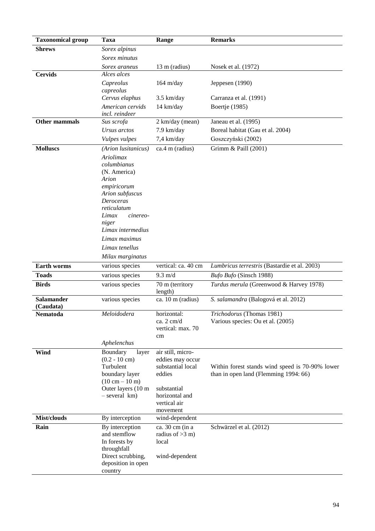| <b>Taxonomical group</b> | <b>Taxa</b>                        | Range                                 | <b>Remarks</b>                                                 |
|--------------------------|------------------------------------|---------------------------------------|----------------------------------------------------------------|
| <b>Shrews</b>            | Sorex alpinus                      |                                       |                                                                |
|                          | Sorex minutus                      |                                       |                                                                |
|                          | Sorex araneus                      | 13 m (radius)                         | Nosek et al. (1972)                                            |
| <b>Cervids</b>           | Alces alces                        |                                       |                                                                |
|                          | Capreolus                          | 164 m/day                             | Jeppesen (1990)                                                |
|                          | capreolus                          |                                       |                                                                |
|                          | Cervus elaphus                     | 3.5 km/day                            | Carranza et al. (1991)                                         |
|                          | American cervids<br>incl. reindeer | 14 km/day                             | Boertje (1985)                                                 |
| <b>Other mammals</b>     | Sus scrofa                         | 2 km/day (mean)                       | Janeau et al. (1995)                                           |
|                          | Ursus arctos                       | 7.9 km/day                            | Boreal habitat (Gau et al. 2004)                               |
|                          | Vulpes vulpes                      | 7,4 km/day                            | Goszczyński (2002)                                             |
| <b>Molluscs</b>          | (Arion lusitanicus)                | ca.4 m (radius)                       | Grimm & Paill (2001)                                           |
|                          | Ariolimax                          |                                       |                                                                |
|                          | columbianus                        |                                       |                                                                |
|                          | (N. America)                       |                                       |                                                                |
|                          | Arion                              |                                       |                                                                |
|                          | empiricorum<br>Arion subfuscus     |                                       |                                                                |
|                          | <b>Deroceras</b>                   |                                       |                                                                |
|                          | reticulatum                        |                                       |                                                                |
|                          | Limax<br>cinereo-                  |                                       |                                                                |
|                          | niger<br>Limax intermedius         |                                       |                                                                |
|                          | Limax maximus                      |                                       |                                                                |
|                          | Limax tenellus                     |                                       |                                                                |
|                          | Milax marginatus                   |                                       |                                                                |
| Earth worms              | various species                    | vertical: ca. 40 cm                   | Lumbricus terrestris (Bastardie et al. 2003)                   |
| <b>Toads</b>             | various species                    | $9.3 \text{ m/d}$                     | Bufo Bufo (Sinsch 1988)                                        |
| <b>Birds</b>             | various species                    | 70 m (territory                       | Turdus merula (Greenwood & Harvey 1978)                        |
|                          |                                    | length)                               |                                                                |
| <b>Salamander</b>        | various species                    | ca. 10 m (radius)                     | S. salamandra (Balogová et al. 2012)                           |
| (Caudata)                | Meloidodera                        | horizontal:                           |                                                                |
| Nematoda                 |                                    | ca. 2 cm/d                            | Trichodorus (Thomas 1981)<br>Various species: Ou et al. (2005) |
|                          |                                    | vertical: max. 70                     |                                                                |
|                          |                                    | cm                                    |                                                                |
|                          | Aphelenchus                        |                                       |                                                                |
| Wind                     | Boundary<br>layer                  | air still, micro-                     |                                                                |
|                          | $(0.2 - 10$ cm $)$<br>Turbulent    | eddies may occur<br>substantial local | Within forest stands wind speed is 70-90% lower                |
|                          | boundary layer                     | eddies                                | than in open land (Flemming 1994: 66)                          |
|                          | $(10 cm - 10 m)$                   |                                       |                                                                |
|                          | Outer layers (10 m                 | substantial                           |                                                                |
|                          | - several km)                      | horizontal and<br>vertical air        |                                                                |
|                          |                                    | movement                              |                                                                |
| Mist/clouds              | By interception                    | wind-dependent                        |                                                                |
| Rain                     | By interception                    | ca. 30 cm (in a                       | Schwärzel et al. (2012)                                        |
|                          | and stemflow                       | radius of $>3$ m)                     |                                                                |
|                          | In forests by<br>throughfall       | local                                 |                                                                |
|                          | Direct scrubbing,                  | wind-dependent                        |                                                                |
|                          | deposition in open                 |                                       |                                                                |
|                          | country                            |                                       |                                                                |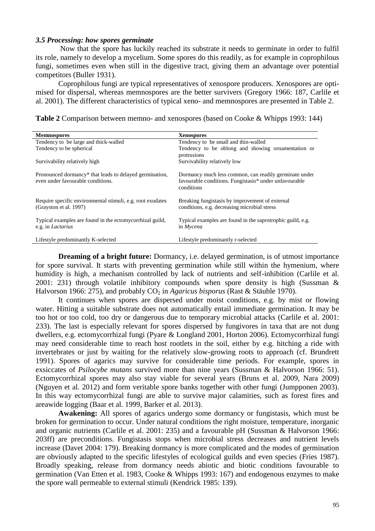### *3.5 Processing: how spores germinate*

Now that the spore has luckily reached its substrate it needs to germinate in order to fulfil its role, namely to develop a mycelium. Some spores do this readily, as for example in coprophilous fungi, sometimes even when still in the digestive tract, giving them an advantage over potential competitors (Buller 1931).

Coprophilous fungi are typical representatives of xenospore producers. Xenospores are optimised for dispersal, whereas memnospores are the better survivers (Gregory 1966: 187, Carlile et al. 2001). The different characteristics of typical xeno- and memnospores are presented in Table 2.

**Table 2** Comparison between memno- and xenospores (based on Cooke & Whipps 1993: 144)

| <b>Memnospores</b>                                                                                       | <b>Xenospores</b>                                                                                                                          |
|----------------------------------------------------------------------------------------------------------|--------------------------------------------------------------------------------------------------------------------------------------------|
| Tendency to be large and thick-walled                                                                    | Tendency to be small and thin-walled                                                                                                       |
| Tendency to be spherical                                                                                 | Tendency to be oblong and showing ornamentation or<br>protrusions                                                                          |
| Survivability relatively high                                                                            | Survivability relatively low                                                                                                               |
| Pronounced dormancy <sup>*</sup> that leads to delayed germination,<br>even under favourable conditions. | Dormancy much less common, can readily germinate under<br>favourable conditions. Fungistasis <sup>*</sup> under unfavourable<br>conditions |
| Require specific environmental stimuli, e.g. root exudates<br>(Grayston et al. 1997)                     | Breaking fungistasis by improvement of external<br>conditions, e.g. decreasing microbial stress                                            |
| Typical examples are found in the ectomy corrhizal guild,<br>e.g. in <i>Lactarius</i>                    | Typical examples are found in the saprotrophic guild, e.g.<br>in Mycena                                                                    |
| Lifestyle predominantly K-selected                                                                       | Lifestyle predominantly r-selected                                                                                                         |

**Dreaming of a bright future:** Dormancy, i.e. delayed germination, is of utmost importance for spore survival. It starts with preventing germination while still within the hymenium, where humidity is high, a mechanism controlled by lack of nutrients and self-inhibition (Carlile et al. 2001: 231) through volatile inhibitory compounds when spore density is high (Sussman & Halvorson 1966: 275), and probably CO<sub>2</sub> in *Agaricus bisporus* (Rast & Stäuble 1970).

It continues when spores are dispersed under moist conditions, e.g. by mist or flowing water. Hitting a suitable substrate does not automatically entail immediate germination. It may be too hot or too cold, too dry or dangerous due to temporary microbial attacks (Carlile et al. 2001: 233). The last is especially relevant for spores dispersed by fungivores in taxa that are not dung dwellers, e.g. ectomycorrhizal fungi (Pyare & Longland 2001, Horton 2006). Ectomycorrhizal fungi may need considerable time to reach host rootlets in the soil, either by e.g. hitching a ride with invertebrates or just by waiting for the relatively slow-growing roots to approach (cf. Brundrett 1991). Spores of agarics may survive for considerable time periods. For example, spores in exsiccates of *Psilocybe mutans* survived more than nine years (Sussman & Halvorson 1966: 51). Ectomycorrhizal spores may also stay viable for several years (Bruns et al. 2009, Nara 2009) (Nguyen et al. 2012) and form veritable spore banks together with other fungi (Jumpponen 2003). In this way ectomycorrhizal fungi are able to survive major calamities, such as forest fires and areawide logging (Baar et al. 1999, Barker et al. 2013).

**Awakening:** All spores of agarics undergo some dormancy or fungistasis, which must be broken for germination to occur. Under natural conditions the right moisture, temperature, inorganic and organic nutrients (Carlile et al. 2001: 235) and a favourable pH (Sussman & Halvorson 1966: 203ff) are preconditions. Fungistasis stops when microbial stress decreases and nutrient levels increase (Davet 2004: 179). Breaking dormancy is more complicated and the modes of germination are obviously adapted to the specific lifestyles of ecological guilds and even species (Fries 1987). Broadly speaking, release from dormancy needs abiotic and biotic conditions favourable to germination (Van Etten et al. 1983, Cooke & Whipps 1993: 167) and endogenous enzymes to make the spore wall permeable to external stimuli (Kendrick 1985: 139).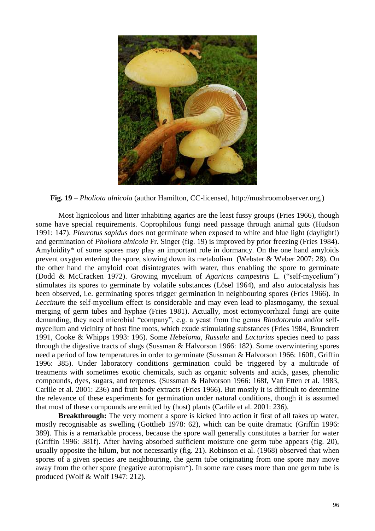

**Fig. 19** – *Pholiota alnicola* (author Hamilton, CC-licensed, http://mushroomobserver.org,)

Most lignicolous and litter inhabiting agarics are the least fussy groups (Fries 1966), though some have special requirements. Coprophilous fungi need passage through animal guts (Hudson 1991: 147). *Pleurotus sapidus* does not germinate when exposed to white and blue light (daylight!) and germination of *Pholiota alnicola* Fr. Singer (fig. 19) is improved by prior freezing (Fries 1984). Amyloidity\* of some spores may play an important role in dormancy. On the one hand amyloids prevent oxygen entering the spore, slowing down its metabolism (Webster & Weber 2007: 28). On the other hand the amyloid coat disintegrates with water, thus enabling the spore to germinate (Dodd & McCracken 1972). Growing mycelium of *Agaricus campestris* L. ("self-mycelium") stimulates its spores to germinate by volatile substances (Lösel 1964), and also autocatalysis has been observed, i.e. germinating spores trigger germination in neighbouring spores (Fries 1966). In *Leccinum* the self-mycelium effect is considerable and may even lead to plasmogamy, the sexual merging of germ tubes and hyphae (Fries 1981). Actually, most ectomycorrhizal fungi are quite demanding, they need microbial "company", e.g. a yeast from the genus *Rhodotorula* and/or selfmycelium and vicinity of host fine roots, which exude stimulating substances (Fries 1984, Brundrett 1991, Cooke & Whipps 1993: 196). Some *Hebeloma*, *Russula* and *Lactarius* species need to pass through the digestive tracts of slugs (Sussman & Halvorson 1966: 182). Some overwintering spores need a period of low temperatures in order to germinate (Sussman & Halvorson 1966: 160ff, Griffin 1996: 385). Under laboratory conditions germination could be triggered by a multitude of treatments with sometimes exotic chemicals, such as organic solvents and acids, gases, phenolic compounds, dyes, sugars, and terpenes. (Sussman & Halvorson 1966: 168f, Van Etten et al. 1983, Carlile et al. 2001: 236) and fruit body extracts (Fries 1966). But mostly it is difficult to determine the relevance of these experiments for germination under natural conditions, though it is assumed that most of these compounds are emitted by (host) plants (Carlile et al. 2001: 236).

**Breakthrough:** The very moment a spore is kicked into action it first of all takes up water, mostly recognisable as swelling (Gottlieb 1978: 62), which can be quite dramatic (Griffin 1996: 389). This is a remarkable process, because the spore wall generally constitutes a barrier for water (Griffin 1996: 381f). After having absorbed sufficient moisture one germ tube appears (fig. 20), usually opposite the hilum, but not necessarily (fig. 21). Robinson et al. (1968) observed that when spores of a given species are neighbouring, the germ tube originating from one spore may move away from the other spore (negative autotropism\*). In some rare cases more than one germ tube is produced (Wolf & Wolf 1947: 212).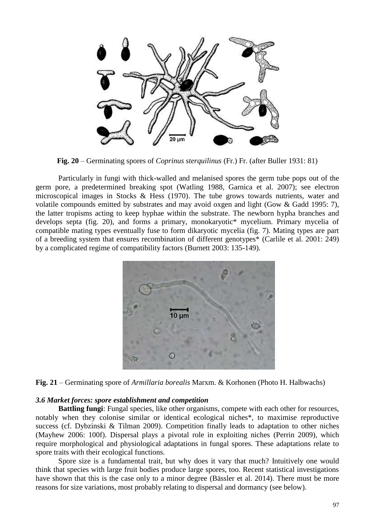

**Fig. 20** – Germinating spores of *Coprinus sterquilinus* (Fr.) Fr. (after Buller 1931: 81)

Particularly in fungi with thick-walled and melanised spores the germ tube pops out of the germ pore, a predetermined breaking spot (Watling 1988, Garnica et al. 2007); see electron microscopical images in Stocks & Hess (1970). The tube grows towards nutrients, water and volatile compounds emitted by substrates and may avoid oxgen and light (Gow & Gadd 1995: 7), the latter tropisms acting to keep hyphae within the substrate. The newborn hypha branches and develops septa (fig. 20), and forms a primary, monokaryotic\* mycelium. Primary mycelia of compatible mating types eventually fuse to form dikaryotic mycelia (fig. 7). Mating types are part of a breeding system that ensures recombination of different genotypes\* (Carlile et al. 2001: 249) by a complicated regime of compatibility factors (Burnett 2003: 135-149).



**Fig. 21** – Germinating spore of *Armillaria borealis* Marxm. & Korhonen (Photo H. Halbwachs)

### *3.6 Market forces: spore establishment and competition*

**Battling fungi**: Fungal species, like other organisms, compete with each other for resources, notably when they colonise similar or identical ecological niches\*, to maximise reproductive success (cf. Dybzinski & Tilman 2009). Competition finally leads to adaptation to other niches (Mayhew 2006: 100f). Dispersal plays a pivotal role in exploiting niches (Perrin 2009), which require morphological and physiological adaptations in fungal spores. These adaptations relate to spore traits with their ecological functions.

Spore size is a fundamental trait, but why does it vary that much? Intuitively one would think that species with large fruit bodies produce large spores, too. Recent statistical investigations have shown that this is the case only to a minor degree (Bässler et al. 2014). There must be more reasons for size variations, most probably relating to dispersal and dormancy (see below).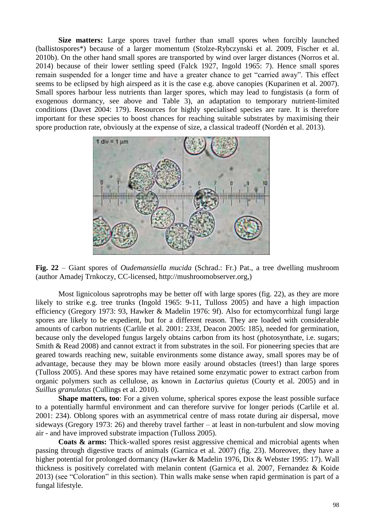**Size matters:** Large spores travel further than small spores when forcibly launched (ballistospores\*) because of a larger momentum (Stolze-Rybczynski et al. 2009, Fischer et al. 2010b). On the other hand small spores are transported by wind over larger distances (Norros et al. 2014) because of their lower settling speed (Falck 1927, Ingold 1965: 7). Hence small spores remain suspended for a longer time and have a greater chance to get "carried away". This effect seems to be eclipsed by high airspeed as it is the case e.g. above canopies (Kuparinen et al. 2007). Small spores harbour less nutrients than larger spores, which may lead to fungistasis (a form of exogenous dormancy, see above and Table 3), an adaptation to temporary nutrient-limited conditions (Davet 2004: 179). Resources for highly specialised species are rare. It is therefore important for these species to boost chances for reaching suitable substrates by maximising their spore production rate, obviously at the expense of size, a classical tradeoff (Nordén et al. 2013).



**Fig. 22** – Giant spores of *Oudemansiella mucida* (Schrad.: Fr.) Pat., a tree dwelling mushroom (author Amadej Trnkoczy, CC-licensed, http://mushroomobserver.org,)

Most lignicolous saprotrophs may be better off with large spores (fig. 22), as they are more likely to strike e.g. tree trunks (Ingold 1965: 9-11, Tulloss 2005) and have a high impaction efficiency (Gregory 1973: 93, Hawker & Madelin 1976: 9f). Also for ectomycorrhizal fungi large spores are likely to be expedient, but for a different reason. They are loaded with considerable amounts of carbon nutrients (Carlile et al. 2001: 233f, Deacon 2005: 185), needed for germination, because only the developed fungus largely obtains carbon from its host (photosynthate, i.e. sugars; Smith & Read 2008) and cannot extract it from substrates in the soil. For pioneering species that are geared towards reaching new, suitable environments some distance away, small spores may be of advantage, because they may be blown more easily around obstacles (trees!) than large spores (Tulloss 2005). And these spores may have retained some enzymatic power to extract carbon from organic polymers such as cellulose, as known in *Lactarius quietus* (Courty et al. 2005) and in *Suillus granulatus* (Cullings et al. 2010).

**Shape matters, too**: For a given volume, spherical spores expose the least possible surface to a potentially harmful environment and can therefore survive for longer periods (Carlile et al. 2001: 234). Oblong spores with an asymmetrical centre of mass rotate during air dispersal, move sideways (Gregory 1973: 26) and thereby travel farther – at least in non-turbulent and slow moving air - and have improved substrate impaction (Tulloss 2005).

**Coats & arms:** Thick-walled spores resist aggressive chemical and microbial agents when passing through digestive tracts of animals (Garnica et al. 2007) (fig. 23). Moreover, they have a higher potential for prolonged dormancy (Hawker & Madelin 1976, Dix & Webster 1995: 17). Wall thickness is positively correlated with melanin content (Garnica et al. 2007, Fernandez & Koide 2013) (see "Coloration" in this section). Thin walls make sense when rapid germination is part of a fungal lifestyle.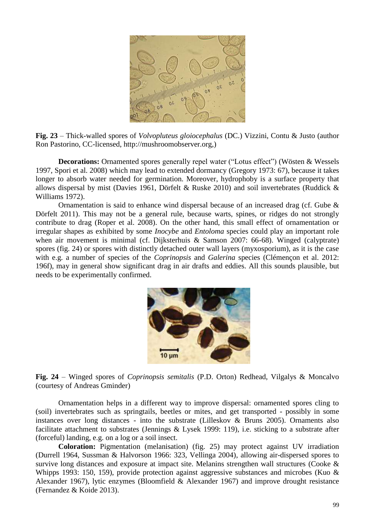

**Fig. 23** – Thick-walled spores of *Volvopluteus gloiocephalus* (DC.) Vizzini, Contu & Justo (author Ron Pastorino, CC-licensed, http://mushroomobserver.org,)

**Decorations:** Ornamented spores generally repel water ("Lotus effect") (Wösten & Wessels 1997, Spori et al. 2008) which may lead to extended dormancy (Gregory 1973: 67), because it takes longer to absorb water needed for germination. Moreover, hydrophoby is a surface property that allows dispersal by mist (Davies 1961, Dörfelt & Ruske 2010) and soil invertebrates (Ruddick & Williams 1972).

Ornamentation is said to enhance wind dispersal because of an increased drag (cf. Gube & Dörfelt 2011). This may not be a general rule, because warts, spines, or ridges do not strongly contribute to drag (Roper et al. 2008). On the other hand, this small effect of ornamentation or irregular shapes as exhibited by some *Inocybe* and *Entoloma* species could play an important role when air movement is minimal (cf. Dijksterhuis & Samson 2007: 66-68). Winged (calyptrate) spores (fig. 24) or spores with distinctly detached outer wall layers (myxosporium), as it is the case with e.g. a number of species of the *Coprinopsis* and *Galerina* species (Clémençon et al. 2012: 196f), may in general show significant drag in air drafts and eddies. All this sounds plausible, but needs to be experimentally confirmed.



**Fig. 24** – Winged spores of *Coprinopsis semitalis* (P.D. Orton) Redhead, Vilgalys & Moncalvo (courtesy of Andreas Gminder)

Ornamentation helps in a different way to improve dispersal: ornamented spores cling to (soil) invertebrates such as springtails, beetles or mites, and get transported - possibly in some instances over long distances - into the substrate (Lilleskov & Bruns 2005). Ornaments also facilitate attachment to substrates (Jennings & Lysek 1999: 119), i.e. sticking to a substrate after (forceful) landing, e.g. on a log or a soil insect.

**Coloration:** Pigmentation (melanisation) (fig. 25) may protect against UV irradiation (Durrell 1964, Sussman & Halvorson 1966: 323, Vellinga 2004), allowing air-dispersed spores to survive long distances and exposure at impact site. Melanins strengthen wall structures (Cooke & Whipps 1993: 150, 159), provide protection against aggressive substances and microbes (Kuo & Alexander 1967), lytic enzymes (Bloomfield & Alexander 1967) and improve drought resistance (Fernandez & Koide 2013).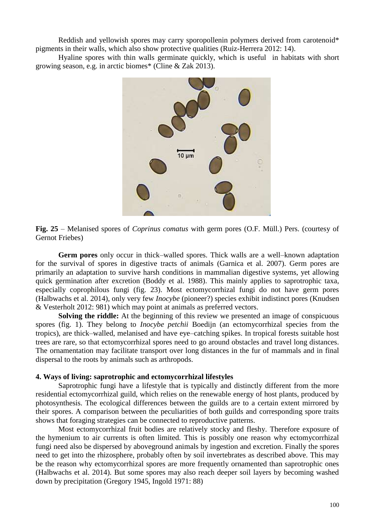Reddish and yellowish spores may carry sporopollenin polymers derived from carotenoid\* pigments in their walls, which also show protective qualities (Ruiz-Herrera 2012: 14).

Hyaline spores with thin walls germinate quickly, which is useful in habitats with short growing season, e.g. in arctic biomes\* (Cline & Zak 2013).



**Fig. 25** – Melanised spores of *Coprinus comatus* with germ pores (O.F. Müll.) Pers. (courtesy of Gernot Friebes)

**Germ pores** only occur in thick–walled spores. Thick walls are a well–known adaptation for the survival of spores in digestive tracts of animals (Garnica et al. 2007). Germ pores are primarily an adaptation to survive harsh conditions in mammalian digestive systems, yet allowing quick germination after excretion (Boddy et al. 1988). This mainly applies to saprotrophic taxa, especially coprophilous fungi (fig. 23). Most ectomycorrhizal fungi do not have germ pores (Halbwachs et al. 2014), only very few *Inocybe* (pioneer?) species exhibit indistinct pores (Knudsen & Vesterholt 2012: 981) which may point at animals as preferred vectors.

**Solving the riddle:** At the beginning of this review we presented an image of conspicuous spores (fig. 1). They belong to *Inocybe petchii* Boedijn (an ectomycorrhizal species from the tropics), are thick–walled, melanised and have eye–catching spikes. In tropical forests suitable host trees are rare, so that ectomycorrhizal spores need to go around obstacles and travel long distances. The ornamentation may facilitate transport over long distances in the fur of mammals and in final dispersal to the roots by animals such as arthropods.

### **4. Ways of living: saprotrophic and ectomycorrhizal lifestyles**

Saprotrophic fungi have a lifestyle that is typically and distinctly different from the more residential ectomycorrhizal guild, which relies on the renewable energy of host plants, produced by photosynthesis. The ecological differences between the guilds are to a certain extent mirrored by their spores. A comparison between the peculiarities of both guilds and corresponding spore traits shows that foraging strategies can be connected to reproductive patterns.

Most ectomycorrhizal fruit bodies are relatively stocky and fleshy. Therefore exposure of the hymenium to air currents is often limited. This is possibly one reason why ectomycorrhizal fungi need also be dispersed by aboveground animals by ingestion and excretion. Finally the spores need to get into the rhizosphere, probably often by soil invertebrates as described above. This may be the reason why ectomycorrhizal spores are more frequently ornamented than saprotrophic ones (Halbwachs et al. 2014). But some spores may also reach deeper soil layers by becoming washed down by precipitation (Gregory 1945, Ingold 1971: 88)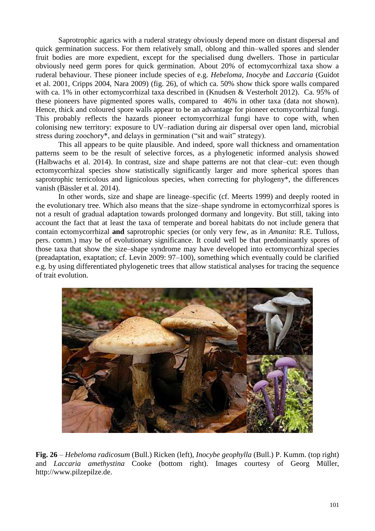Saprotrophic agarics with a ruderal strategy obviously depend more on distant dispersal and quick germination success. For them relatively small, oblong and thin–walled spores and slender fruit bodies are more expedient, except for the specialised dung dwellers. Those in particular obviously need germ pores for quick germination. About 20% of ectomycorrhizal taxa show a ruderal behaviour. These pioneer include species of e.g. *Hebeloma*, *Inocybe* and *Laccaria* (Guidot et al. 2001, Cripps 2004, Nara 2009) (fig. 26), of which ca. 50% show thick spore walls compared with ca. 1% in other ectomycorrhizal taxa described in (Knudsen & Vesterholt 2012). Ca. 95% of these pioneers have pigmented spores walls, compared to 46% in other taxa (data not shown). Hence, thick and coloured spore walls appear to be an advantage for pioneer ectomycorrhizal fungi. This probably reflects the hazards pioneer ectomycorrhizal fungi have to cope with, when colonising new territory: exposure to UV–radiation during air dispersal over open land, microbial stress during zoochory<sup>\*</sup>, and delays in germination ("sit and wait" strategy).

This all appears to be quite plausible. And indeed, spore wall thickness and ornamentation patterns seem to be the result of selective forces, as a phylogenetic informed analysis showed (Halbwachs et al. 2014). In contrast, size and shape patterns are not that clear–cut: even though ectomycorrhizal species show statistically significantly larger and more spherical spores than saprotrophic terricolous and lignicolous species, when correcting for phylogeny\*, the differences vanish (Bässler et al. 2014).

In other words, size and shape are lineage–specific (cf. Meerts 1999) and deeply rooted in the evolutionary tree. Which also means that the size–shape syndrome in ectomycorrhizal spores is not a result of gradual adaptation towards prolonged dormany and longevity. But still, taking into account the fact that at least the taxa of temperate and boreal habitats do not include genera that contain ectomycorrhizal **and** saprotrophic species (or only very few, as in *Amanita*: R.E. Tulloss, pers. comm.) may be of evolutionary significance. It could well be that predominantly spores of those taxa that show the size–shape syndrome may have developed into ectomycorrhizal species (preadaptation, exaptation; cf. Levin 2009: 97–100), something which eventually could be clarified e.g. by using differentiated phylogenetic trees that allow statistical analyses for tracing the sequence of trait evolution.



**Fig. 26** – *Hebeloma radicosum* (Bull.) Ricken (left), *Inocybe geophylla* (Bull.) P. Kumm. (top right) and *Laccaria amethystina* Cooke (bottom right). Images courtesy of Georg Müller, http://www.pilzepilze.de.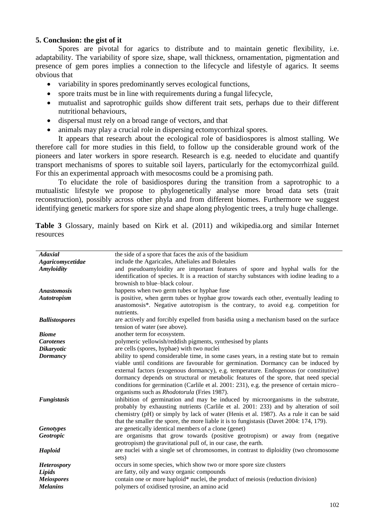# **5. Conclusion: the gist of it**

Spores are pivotal for agarics to distribute and to maintain genetic flexibility, i.e. adaptability. The variability of spore size, shape, wall thickness, ornamentation, pigmentation and presence of gem pores implies a connection to the lifecycle and lifestyle of agarics. It seems obvious that

- variability in spores predominantly serves ecological functions,
- spore traits must be in line with requirements during a fungal lifecycle,
- mutualist and saprotrophic guilds show different trait sets, perhaps due to their different nutritional behaviours,
- dispersal must rely on a broad range of vectors, and that
- animals may play a crucial role in dispersing ectomycorrhizal spores.

It appears that research about the ecological role of basidiospores is almost stalling. We therefore call for more studies in this field, to follow up the considerable ground work of the pioneers and later workers in spore research. Research is e.g. needed to elucidate and quantify transport mechanisms of spores to suitable soil layers, particularly for the ectomycorrhizal guild. For this an experimental approach with mesocosms could be a promising path.

To elucidate the role of basidiospores during the transition from a saprotrophic to a mutualistic lifestyle we propose to phylogenetically analyse more broad data sets (trait reconstruction), possibly across other phyla and from different biomes. Furthermore we suggest identifying genetic markers for spore size and shape along phylogentic trees, a truly huge challenge.

**Table 3** Glossary, mainly based on Kirk et al. (2011) and wikipedia.org and similar Internet resources

| the side of a spore that faces the axis of the basidium                                    |
|--------------------------------------------------------------------------------------------|
| include the Agaricales, Atheliales and Boletales                                           |
| and pseudoamyloidity are important features of spore and hyphal walls for the              |
| identification of species. It is a reaction of starchy substances with iodine leading to a |
| brownish to blue-black colour.                                                             |
| happens when two germ tubes or hyphae fuse                                                 |
| is positive, when germ tubes or hyphae grow towards each other, eventually leading to      |
| anastomosis*. Negative autotropism is the contrary, to avoid e.g. competition for          |
| nutrients.                                                                                 |
| are actively and forcibly expelled from basidia using a mechanism based on the surface     |
| tension of water (see above).                                                              |
| another term for ecosystem.                                                                |
| polymeric yellowish/reddish pigments, synthesised by plants                                |
| are cells (spores, hyphae) with two nuclei                                                 |
| ability to spend considerable time, in some cases years, in a resting state but to remain  |
| viable until conditions are favourable for germination. Dormancy can be induced by         |
| external factors (exogenous dormancy), e.g. temperature. Endogenous (or constitutive)      |
| dormancy depends on structural or metabolic features of the spore, that need special       |
| conditions for germination (Carlile et al. 2001: 231), e.g. the presence of certain micro- |
| organisms such as <i>Rhodotorula</i> (Fries 1987).                                         |
| inhibition of germination and may be induced by microorganisms in the substrate,           |
| probably by exhausting nutrients (Carlile et al. 2001: 233) and by alteration of soil      |
| chemistry (pH) or simply by lack of water (Henis et al. 1987). As a rule it can be said    |
| that the smaller the spore, the more liable it is to fungistasis (Davet 2004: 174, 179).   |
| are genetically identical members of a clone (genet)                                       |
| are organisms that grow towards (positive geotropism) or away from (negative               |
| geotropism) the gravitational pull of, in our case, the earth.                             |
| are nuclei with a single set of chromosomes, in contrast to diploidity (two chromosome     |
| sets)                                                                                      |
| occurs in some species, which show two or more spore size clusters                         |
| are fatty, oily and waxy organic compounds                                                 |
| contain one or more haploid* nuclei, the product of meiosis (reduction division)           |
| polymers of oxidised tyrosine, an amino acid                                               |
|                                                                                            |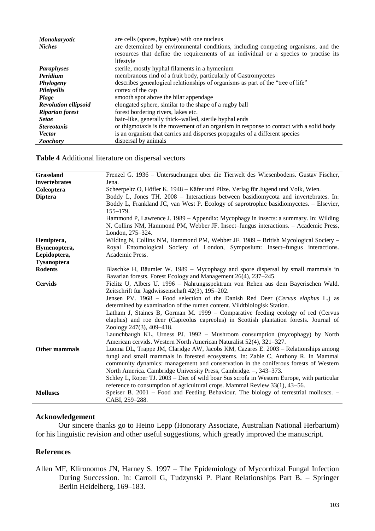| <b>Monokaryotic</b>         | are cells (spores, hyphae) with one nucleus                                            |
|-----------------------------|----------------------------------------------------------------------------------------|
| <b>Niches</b>               | are determined by environmental conditions, including competing organisms, and the     |
|                             | resources that define the requirements of an individual or a species to practise its   |
|                             | lifestyle                                                                              |
| <b>Paraphyses</b>           | sterile, mostly hyphal filaments in a hymenium                                         |
| Peridium                    | membranous rind of a fruit body, particularly of Gastromycetes                         |
| Phylogeny                   | describes genealogical relationships of organisms as part of the "tree of life"        |
| Pileipellis                 | cortex of the cap                                                                      |
| Plage                       | smooth spot above the hilar appendage                                                  |
| <b>Revolution ellipsoid</b> | elongated sphere, similar to the shape of a rugby ball                                 |
| <b>Riparian forest</b>      | forest bordering rivers, lakes etc.                                                    |
| <b>Setae</b>                | hair-like, generally thick-walled, sterile hyphal ends                                 |
| <i>Stereotaxis</i>          | or thigmotaxis is the movement of an organism in response to contact with a solid body |
| <b>Vector</b>               | is an organism that carries and disperses propagules of a different species            |
| <b>Zoochory</b>             | dispersal by animals                                                                   |

#### **Table 4** Additional literature on dispersal vectors

| Grassland            | Frenzel G. 1936 – Untersuchungen über die Tierwelt des Wiesenbodens. Gustav Fischer,       |
|----------------------|--------------------------------------------------------------------------------------------|
| invertebrates        | Jena.                                                                                      |
| Coleoptera           | Scheerpeltz O, Höfler K. 1948 – Käfer und Pilze. Verlag für Jugend und Volk, Wien.         |
| <b>Diptera</b>       | Boddy L, Jones TH. 2008 - Interactions between basidiomycota and invertebrates. In:        |
|                      | Boddy L, Frankland JC, van West P. Ecology of saprotrophic basidiomycetes. - Elsevier,     |
|                      | $155 - 179.$                                                                               |
|                      | Hammond P, Lawrence J. 1989 – Appendix: Mycophagy in insects: a summary. In: Wilding       |
|                      | N, Collins NM, Hammond PM, Webber JF. Insect–fungus interactions. - Academic Press,        |
|                      | London, 275–324.                                                                           |
| Hemiptera,           | Wilding N, Collins NM, Hammond PM, Webber JF. 1989 – British Mycological Society –         |
| Hymenoptera,         | Royal Entomological Society of London, Symposium: Insect-fungus interactions.              |
| Lepidoptera,         | Academic Press.                                                                            |
| <b>Tysanoptera</b>   |                                                                                            |
| <b>Rodents</b>       | Blaschke H, Bäumler W. 1989 – Mycophagy and spore dispersal by small mammals in            |
|                      | Bavarian forests. Forest Ecology and Management 26(4), 237–245.                            |
| <b>Cervids</b>       | Fielitz U, Albers U. 1996 - Nahrungsspektrum von Rehen aus dem Bayerischen Wald.           |
|                      | Zeitschrift für Jagdwissenschaft 42(3), 195–202.                                           |
|                      | Jensen PV. 1968 - Food selection of the Danish Red Deer (Cervus elaphus L.) as             |
|                      | determined by examination of the rumen content. Vildtbiologisk Station.                    |
|                      | Latham J, Staines B, Gorman M. 1999 – Comparative feeding ecology of red (Cervus           |
|                      | elaphus) and roe deer (Capreolus capreolus) in Scottish plantation forests. Journal of     |
|                      | Zoology 247(3), 409-418.                                                                   |
|                      | Launchbaugh KL, Urness PJ. 1992 - Mushroom consumption (mycophagy) by North                |
|                      | American cervids. Western North American Naturalist 52(4), 321-327.                        |
| <b>Other mammals</b> | Luoma DL, Trappe JM, Claridge AW, Jacobs KM, Cazares E. 2003 – Relationships among         |
|                      | fungi and small mammals in forested ecosystems. In: Zable C, Anthony R. In Mammal          |
|                      | community dynamics: management and conservation in the coniferous forests of Western       |
|                      | North America. Cambridge University Press, Cambridge. -, 343-373.                          |
|                      | Schley L, Roper TJ. 2003 – Diet of wild boar Sus scrofa in Western Europe, with particular |
|                      | reference to consumption of agricultural crops. Mammal Review 33(1), 43–56.                |
| <b>Molluscs</b>      | Speiser B. 2001 – Food and Feeding Behaviour. The biology of terrestrial molluscs. –       |
|                      | CABI, 259-288.                                                                             |

### **Acknowledgement**

Our sincere thanks go to Heino Lepp (Honorary Associate, Australian National Herbarium) for his linguistic revision and other useful suggestions, which greatly improved the manuscript.

# **References**

Allen MF, Klironomos JN, Harney S. 1997 – The Epidemiology of Mycorrhizal Fungal Infection During Succession. In: Carroll G, Tudzynski P. Plant Relationships Part B. – Springer Berlin Heidelberg, 169–183.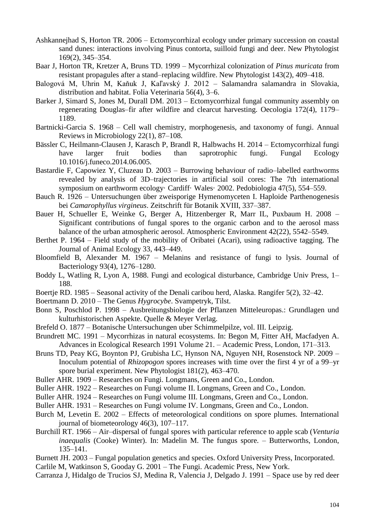- Ashkannejhad S, Horton TR. 2006 Ectomycorrhizal ecology under primary succession on coastal sand dunes: interactions involving Pinus contorta, suilloid fungi and deer. New Phytologist 169(2), 345–354.
- Baar J, Horton TR, Kretzer A, Bruns TD. 1999 Mycorrhizal colonization of *Pinus muricata* from resistant propagules after a stand–replacing wildfire. New Phytologist 143(2), 409–418.
- Balogová M, Uhrin M, Kaňuk J, Kaľavský J. 2012 Salamandra salamandra in Slovakia, distribution and habitat. Folia Veterinaria 56(4), 3–6.
- Barker J, Simard S, Jones M, Durall DM. 2013 Ectomycorrhizal fungal community assembly on regenerating Douglas–fir after wildfire and clearcut harvesting. Oecologia 172(4), 1179– 1189.
- Bartnicki-Garcia S. 1968 Cell wall chemistry, morphogenesis, and taxonomy of fungi. Annual Reviews in Microbiology 22(1), 87–108.
- Bässler C, Heilmann-Clausen J, Karasch P, Brandl R, Halbwachs H. 2014 Ectomycorrhizal fungi have larger fruit bodies than saprotrophic fungi. Fungal Ecology 10.1016/j.funeco.2014.06.005.
- Bastardie F, Capowiez Y, Cluzeau D. 2003 Burrowing behaviour of radio–labelled earthworms revealed by analysis of 3D–trajectories in artificial soil cores: The 7th international symposium on earthworm ecology· Cardiff· Wales· 2002. Pedobiologia 47(5), 554–559.
- Bauch R. 1926 Untersuchungen über zweisporige Hymenomyceten I. Haploide Parthenogenesis bei *Camarophyllus virgineus*. Zeitschrift für Botanik XVIII, 337–387.
- Bauer H, Schueller E, Weinke G, Berger A, Hitzenberger R, Marr IL, Puxbaum H. 2008 Significant contributions of fungal spores to the organic carbon and to the aerosol mass balance of the urban atmospheric aerosol. Atmospheric Environment 42(22), 5542–5549.
- Berthet P. 1964 Field study of the mobility of Oribatei (Acari), using radioactive tagging. The Journal of Animal Ecology 33, 443–449.
- Bloomfield B, Alexander M. 1967 Melanins and resistance of fungi to lysis. Journal of Bacteriology 93(4), 1276–1280.
- Boddy L, Watling R, Lyon A, 1988. Fungi and ecological disturbance, Cambridge Univ Press, 1– 188.
- Boertje RD. 1985 Seasonal activity of the Denali caribou herd, Alaska. Rangifer 5(2), 32–42.
- Boertmann D. 2010 The Genus *Hygrocybe*. Svampetryk, Tilst.
- Bonn S, Poschlod P. 1998 Ausbreitungsbiologie der Pflanzen Mitteleuropas.: Grundlagen und kulturhistorischen Aspekte. Quelle & Meyer Verlag.
- Brefeld O. 1877 Botanische Untersuchungen uber Schimmelpilze, vol. III. Leipzig.
- Brundrett MC. 1991 Mycorrhizas in natural ecosystems. In: Begon M, Fitter AH, Macfadyen A. Advances in Ecological Research 1991 Volume 21. – Academic Press, London, 171–313.
- Bruns TD, Peay KG, Boynton PJ, Grubisha LC, Hynson NA, Nguyen NH, Rosenstock NP. 2009 Inoculum potential of *Rhizopogon* spores increases with time over the first 4 yr of a 99–yr spore burial experiment. New Phytologist 181(2), 463–470.
- Buller AHR. 1909 Researches on Fungi. Longmans, Green and Co., London.
- Buller AHR. 1922 Researches on Fungi volume II. Longmans, Green and Co., London.
- Buller AHR. 1924 Researches on Fungi volume III. Longmans, Green and Co., London.
- Buller AHR. 1931 Researches on Fungi volume IV. Longmans, Green and Co., London.
- Burch M, Levetin E. 2002 Effects of meteorological conditions on spore plumes. International journal of biometeorology 46(3), 107–117.
- Burchill RT. 1966 Air–dispersal of fungal spores with particular reference to apple scab (*Venturia inaequalis* (Cooke) Winter). In: Madelin M. The fungus spore. – Butterworths, London, 135–141.
- Burnett JH. 2003 Fungal population genetics and species. Oxford University Press, Incorporated. Carlile M, Watkinson S, Gooday G. 2001 – The Fungi. Academic Press, New York.
- Carranza J, Hidalgo de Trucios SJ, Medina R, Valencia J, Delgado J. 1991 Space use by red deer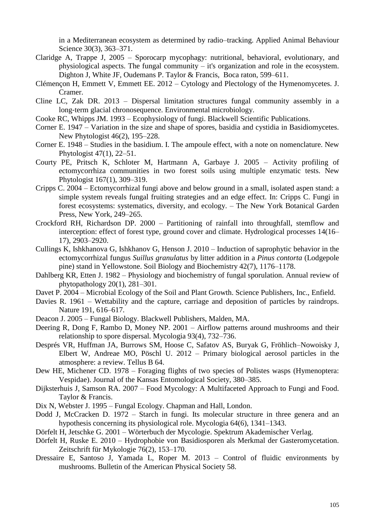in a Mediterranean ecosystem as determined by radio–tracking. Applied Animal Behaviour Science 30(3), 363–371.

- Claridge A, Trappe J, 2005 Sporocarp mycophagy: nutritional, behavioral, evolutionary, and physiological aspects. The fungal community – it's organization and role in the ecosystem. Dighton J, White JF, Oudemans P. Taylor & Francis, Boca raton, 599–611.
- Clémençon H, Emmett V, Emmett EE. 2012 Cytology and Plectology of the Hymenomycetes. J. Cramer.
- Cline LC, Zak DR. 2013 Dispersal limitation structures fungal community assembly in a long‐term glacial chronosequence. Environmental microbiology.
- Cooke RC, Whipps JM. 1993 Ecophysiology of fungi. Blackwell Scientific Publications.
- Corner E. 1947 Variation in the size and shape of spores, basidia and cystidia in Basidiomycetes. New Phytologist 46(2), 195–228.
- Corner E. 1948 Studies in the basidium. I. The ampoule effect, with a note on nomenclature. New Phytologist 47(1), 22–51.
- Courty PE, Pritsch K, Schloter M, Hartmann A, Garbaye J. 2005 Activity profiling of ectomycorrhiza communities in two forest soils using multiple enzymatic tests. New Phytologist 167(1), 309–319.
- Cripps C. 2004 Ectomycorrhizal fungi above and below ground in a small, isolated aspen stand: a simple system reveals fungal fruiting strategies and an edge effect. In: Cripps C. Fungi in forest ecosystems: systematics, diversity, and ecology. – The New York Botanical Garden Press, New York, 249–265.
- Crockford RH, Richardson DP. 2000 Partitioning of rainfall into throughfall, stemflow and interception: effect of forest type, ground cover and climate. Hydrological processes 14(16– 17), 2903–2920.
- Cullings K, Ishkhanova G, Ishkhanov G, Henson J. 2010 Induction of saprophytic behavior in the ectomycorrhizal fungus *Suillus granulatus* by litter addition in a *Pinus contorta* (Lodgepole pine) stand in Yellowstone. Soil Biology and Biochemistry 42(7), 1176–1178.
- Dahlberg KR, Etten J. 1982 Physiology and biochemistry of fungal sporulation. Annual review of phytopathology 20(1), 281–301.
- Davet P. 2004 Microbial Ecology of the Soil and Plant Growth. Science Publishers, Inc., Enfield.
- Davies R. 1961 Wettability and the capture, carriage and deposition of particles by raindrops. Nature 191, 616–617.
- Deacon J. 2005 Fungal Biology. Blackwell Publishers, Malden, MA.
- Deering R, Dong F, Rambo D, Money NP. 2001 Airflow patterns around mushrooms and their relationship to spore dispersal. Mycologia 93(4), 732–736.
- Després VR, Huffman JA, Burrows SM, Hoose C, Safatov AS, Buryak G, Fröhlich–Nowoisky J, Elbert W, Andreae MO, Pöschl U. 2012 – Primary biological aerosol particles in the atmosphere: a review. Tellus B 64.
- Dew HE, Michener CD. 1978 Foraging flights of two species of Polistes wasps (Hymenoptera: Vespidae). Journal of the Kansas Entomological Society, 380–385.
- Dijksterhuis J, Samson RA. 2007 Food Mycology: A Multifaceted Approach to Fungi and Food. Taylor & Francis.
- Dix N, Webster J. 1995 Fungal Ecology. Chapman and Hall, London.
- Dodd J, McCracken D. 1972 Starch in fungi. Its molecular structure in three genera and an hypothesis concerning its physiological role. Mycologia 64(6), 1341–1343.
- Dörfelt H, Jetschke G. 2001 Wörterbuch der Mycologie. Spektrum Akademischer Verlag.
- Dörfelt H, Ruske E. 2010 Hydrophobie von Basidiosporen als Merkmal der Gasteromycetation. Zeitschrift für Mykologie 76(2), 153–170.
- Dressaire E, Santoso J, Yamada L, Roper M. 2013 Control of fluidic environments by mushrooms. Bulletin of the American Physical Society 58.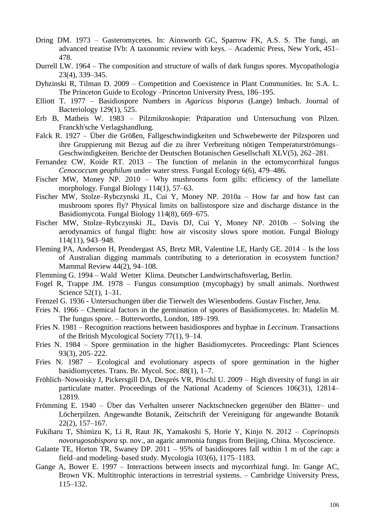- Dring DM. 1973 Gasteromycetes. In: Ainsworth GC, Sparrow FK, A.S. S. The fungi, an advanced treatise IVb: A taxonomic review with keys. – Academic Press, New York, 451– 478.
- Durrell LW. 1964 The composition and structure of walls of dark fungus spores. Mycopathologia 23(4), 339–345.
- Dybzinski R, Tilman D. 2009 Competition and Coexistence in Plant Communities. In: S.A. L. The Princeton Guide to Ecology –Princeton University Press, 186–195.
- Elliott T. 1977 Basidiospore Numbers in *Agaricus bisporus* (Lange) Imbach. Journal of Bacteriology 129(1), 525.
- Erb B, Matheis W. 1983 Pilzmikroskopie: Präparation und Untersuchung von Pilzen. Franckh'sche Verlagshandlung.
- Falck R. 1927 Über die Größen, Fallgeschwindigkeiten und Schwebewerte der Pilzsporen und ihre Gruppierung mit Bezug auf die zu ihrer Verbreitung nötigen Temperaturströmungs– Geschwindigkeiten. Berichte der Deutschen Botanischen Gesellschaft XLV(5), 262–281.
- Fernandez CW, Koide RT. 2013 The function of melanin in the ectomycorrhizal fungus *Cenococcum geophilum* under water stress. Fungal Ecology 6(6), 479–486.
- Fischer MW, Money NP. 2010 Why mushrooms form gills: efficiency of the lamellate morphology. Fungal Biology 114(1), 57–63.
- Fischer MW, Stolze–Rybczynski JL, Cui Y, Money NP. 2010a How far and how fast can mushroom spores fly? Physical limits on ballistospore size and discharge distance in the Basidiomycota. Fungal Biology 114(8), 669–675.
- Fischer MW, Stolze–Rybczynski JL, Davis DJ, Cui Y, Money NP. 2010b Solving the aerodynamics of fungal flight: how air viscosity slows spore motion. Fungal Biology 114(11), 943–948.
- Fleming PA, Anderson H, Prendergast AS, Bretz MR, Valentine LE, Hardy GE. 2014 Is the loss of Australian digging mammals contributing to a deterioration in ecosystem function? Mammal Review 44(2), 94–108.
- Flemming G. 1994 Wald Wetter Klima. Deutscher Landwirtschaftsverlag, Berlin.
- Fogel R, Trappe JM. 1978 Fungus consumption (mycophagy) by small animals. Northwest Science 52(1), 1–31.
- Frenzel G. 1936 Untersuchungen über die Tierwelt des Wiesenbodens. Gustav Fischer, Jena.
- Fries N. 1966 Chemical factors in the germination of spores of Basidiomycetes. In: Madelin M. The fungus spore. – Butterworths, London, 189–199.
- Fries N. 1981 Recognition reactions between basidiospores and hyphae in *Leccinum*. Transactions of the British Mycological Society 77(1), 9–14.
- Fries N. 1984 Spore germination in the higher Basidiomycetes. Proceedings: Plant Sciences 93(3), 205–222.
- Fries N. 1987 Ecological and evolutionary aspects of spore germination in the higher basidiomycetes. Trans. Br. Mycol. Soc. 88(1), 1–7.
- Fröhlich–Nowoisky J, Pickersgill DA, Després VR, Pöschl U. 2009 High diversity of fungi in air particulate matter. Proceedings of the National Academy of Sciences 106(31), 12814– 12819.
- Frömming E. 1940 Über das Verhalten unserer Nacktschnecken gegenüber den Blätter– und Löcherpilzen. Angewandte Botanik, Zeitschrift der Vereinigung für angewandte Botanik 22(2), 157–167.
- Fukiharu T, Shimizu K, Li R, Raut JK, Yamakoshi S, Horie Y, Kinjo N. 2012 *Coprinopsis novorugosobispora* sp. nov., an agaric ammonia fungus from Beijing, China. Mycoscience.
- Galante TE, Horton TR, Swaney DP. 2011 95% of basidiospores fall within 1 m of the cap: a field–and modeling–based study. Mycologia 103(6), 1175–1183.
- Gange A, Bower E. 1997 Interactions between insects and mycorrhizal fungi. In: Gange AC, Brown VK. Multitrophic interactions in terrestrial systems. – Cambridge University Press, 115–132.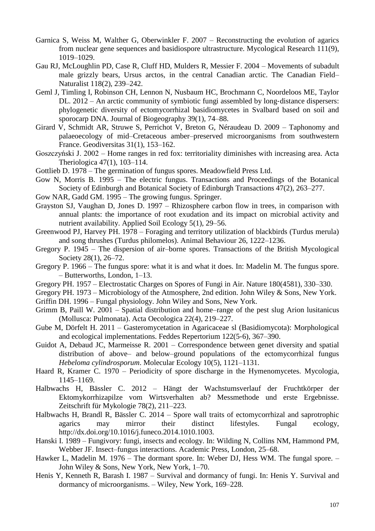- Garnica S, Weiss M, Walther G, Oberwinkler F. 2007 Reconstructing the evolution of agarics from nuclear gene sequences and basidiospore ultrastructure. Mycological Research 111(9), 1019–1029.
- Gau RJ, McLoughlin PD, Case R, Cluff HD, Mulders R, Messier F. 2004 Movements of subadult male grizzly bears, Ursus arctos, in the central Canadian arctic. The Canadian Field– Naturalist 118(2), 239–242.
- Geml J, Timling I, Robinson CH, Lennon N, Nusbaum HC, Brochmann C, Noordeloos ME, Taylor DL. 2012 – An arctic community of symbiotic fungi assembled by long-distance dispersers: phylogenetic diversity of ectomycorrhizal basidiomycetes in Svalbard based on soil and sporocarp DNA. Journal of Biogeography 39(1), 74–88.
- Girard V, Schmidt AR, Struwe S, Perrichot V, Breton G, Néraudeau D. 2009 Taphonomy and palaeoecology of mid–Cretaceous amber–preserved microorganisms from southwestern France. Geodiversitas 31(1), 153–162.
- Goszczyński J. 2002 Home ranges in red fox: territoriality diminishes with increasing area. Acta Theriologica 47(1), 103–114.
- Gottlieb D. 1978 The germination of fungus spores. Meadowfield Press Ltd.
- Gow N, Morris B. 1995 The electric fungus. Transactions and Proceedings of the Botanical Society of Edinburgh and Botanical Society of Edinburgh Transactions 47(2), 263–277.
- Gow NAR, Gadd GM. 1995 The growing fungus. Springer.
- Grayston SJ, Vaughan D, Jones D. 1997 Rhizosphere carbon flow in trees, in comparison with annual plants: the importance of root exudation and its impact on microbial activity and nutrient availability. Applied Soil Ecology 5(1), 29–56.
- Greenwood PJ, Harvey PH. 1978 Foraging and territory utilization of blackbirds (Turdus merula) and song thrushes (Turdus philomelos). Animal Behaviour 26, 1222–1236.
- Gregory P. 1945 The dispersion of air–borne spores. Transactions of the British Mycological Society 28(1), 26–72.
- Gregory P. 1966 The fungus spore: what it is and what it does. In: Madelin M. The fungus spore. – Butterworths, London, 1–13.
- Gregory PH. 1957 Electrostatic Charges on Spores of Fungi in Air. Nature 180(4581), 330–330.
- Gregory PH. 1973 Microbiology of the Atmosphere, 2nd edition. John Wiley & Sons, New York.
- Griffin DH. 1996 Fungal physiology. John Wiley and Sons, New York.
- Grimm B, Paill W. 2001 Spatial distribution and home–range of the pest slug Arion lusitanicus (Mollusca: Pulmonata). Acta Oecologica 22(4), 219–227.
- Gube M, Dörfelt H. 2011 Gasteromycetation in Agaricaceae sl (Basidiomycota): Morphological and ecological implementations. Feddes Repertorium 122(5‐6), 367–390.
- Guidot A, Debaud JC, Marmeisse R. 2001 Correspondence between genet diversity and spatial distribution of above– and below–ground populations of the ectomycorrhizal fungus *Hebeloma cylindrosporum*. Molecular Ecology 10(5), 1121–1131.
- Haard R, Kramer C. 1970 Periodicity of spore discharge in the Hymenomycetes. Mycologia, 1145–1169.
- Halbwachs H, Bässler C. 2012 Hängt der Wachstumsverlauf der Fruchtkörper der Ektomykorrhizapilze vom Wirtsverhalten ab? Messmethode und erste Ergebnisse. Zeitschrift für Mykologie 78(2), 211–223.
- Halbwachs H, Brandl R, Bässler C. 2014 Spore wall traits of ectomycorrhizal and saprotrophic agarics may mirror their distinct lifestyles. Fungal ecology, http://dx.doi.org/10.1016/j.funeco.2014.1010.1003.
- Hanski I. 1989 Fungivory: fungi, insects and ecology. In: Wilding N, Collins NM, Hammond PM, Webber JF. Insect–fungus interactions. Academic Press, London, 25–68.
- Hawker L, Madelin M. 1976 The dormant spore. In: Weber DJ, Hess WM. The fungal spore. John Wiley & Sons, New York, New York, 1–70.
- Henis Y, Kenneth R, Barash I. 1987 Survival and dormancy of fungi. In: Henis Y. Survival and dormancy of microorganisms. – Wiley, New York, 169–228.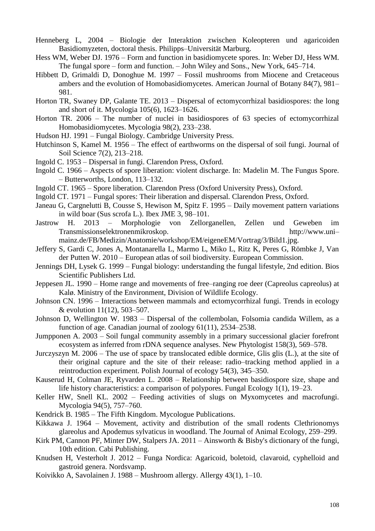- Henneberg L, 2004 Biologie der Interaktion zwischen Koleopteren und agaricoiden Basidiomyzeten, doctoral thesis. Philipps–Universität Marburg.
- Hess WM, Weber DJ. 1976 Form and function in basidiomycete spores. In: Weber DJ, Hess WM. The fungal spore – form and function. – John Wiley and Sons., New York, 645–714.
- Hibbett D, Grimaldi D, Donoghue M. 1997 Fossil mushrooms from Miocene and Cretaceous ambers and the evolution of Homobasidiomycetes. American Journal of Botany 84(7), 981– 981.
- Horton TR, Swaney DP, Galante TE. 2013 Dispersal of ectomycorrhizal basidiospores: the long and short of it. Mycologia 105(6), 1623–1626.
- Horton TR. 2006 The number of nuclei in basidiospores of 63 species of ectomycorrhizal Homobasidiomycetes. Mycologia 98(2), 233–238.
- Hudson HJ. 1991 Fungal Biology. Cambridge University Press.
- Hutchinson S, Kamel M. 1956 The effect of earthworms on the dispersal of soil fungi. Journal of Soil Science 7(2), 213–218.
- Ingold C. 1953 Dispersal in fungi. Clarendon Press, Oxford.
- Ingold C. 1966 Aspects of spore liberation: violent discharge. In: Madelin M. The Fungus Spore. – Butterworths, London, 113–132.
- Ingold CT. 1965 Spore liberation. Clarendon Press (Oxford University Press), Oxford.
- Ingold CT. 1971 Fungal spores: Their liberation and dispersal. Clarendon Press, Oxford.
- Janeau G, Cargnelutti B, Cousse S, Hewison M, Spitz F. 1995 Daily movement pattern variations in wild boar (Sus scrofa L.). Ibex JME 3, 98–101.
- Jastrow H. 2013 Morphologie von Zellorganellen, Zellen und Geweben im Transmissionselektronenmikroskop. http://www.uni– mainz.de/FB/Medizin/Anatomie/workshop/EM/eigeneEM/Vortrag/3/Bild1.jpg.
- Jeffery S, Gardi C, Jones A, Montanarella L, Marmo L, Miko L, Ritz K, Peres G, Römbke J, Van der Putten W. 2010 – European atlas of soil biodiversity. European Commission.
- Jennings DH, Lysek G. 1999 Fungal biology: understanding the fungal lifestyle, 2nd edition. Bios Scientific Publishers Ltd.
- Jeppesen JL. 1990 Home range and movements of free–ranging roe deer (Capreolus capreolus) at Kalø. Ministry of the Environment, Division of Wildlife Ecology.
- Johnson CN. 1996 Interactions between mammals and ectomycorrhizal fungi. Trends in ecology & evolution 11(12), 503–507.
- Johnson D, Wellington W. 1983 Dispersal of the collembolan, Folsomia candida Willem, as a function of age. Canadian journal of zoology 61(11), 2534–2538.
- Jumpponen A. 2003 Soil fungal community assembly in a primary successional glacier forefront ecosystem as inferred from rDNA sequence analyses. New Phytologist 158(3), 569–578.
- Jurczyszyn M. 2006 The use of space by translocated edible dormice, Glis glis (L.), at the site of their original capture and the site of their release: radio–tracking method applied in a reintroduction experiment. Polish Journal of ecology 54(3), 345–350.
- Kauserud H, Colman JE, Ryvarden L. 2008 Relationship between basidiospore size, shape and life history characteristics: a comparison of polypores. Fungal Ecology 1(1), 19–23.
- Keller HW, Snell KL. 2002 Feeding activities of slugs on Myxomycetes and macrofungi. Mycologia 94(5), 757–760.
- Kendrick B. 1985 The Fifth Kingdom. Mycologue Publications.
- Kikkawa J. 1964 Movement, activity and distribution of the small rodents Clethrionomys glareolus and Apodemus sylvaticus in woodland. The Journal of Animal Ecology, 259–299.
- Kirk PM, Cannon PF, Minter DW, Stalpers JA. 2011 Ainsworth & Bisby's dictionary of the fungi, 10th edition. Cabi Publishing.
- Knudsen H, Vesterholt J. 2012 Funga Nordica: Agaricoid, boletoid, clavaroid, cyphelloid and gastroid genera. Nordsvamp.
- Koivikko A, Savolainen J. 1988 Mushroom allergy. Allergy 43(1), 1–10.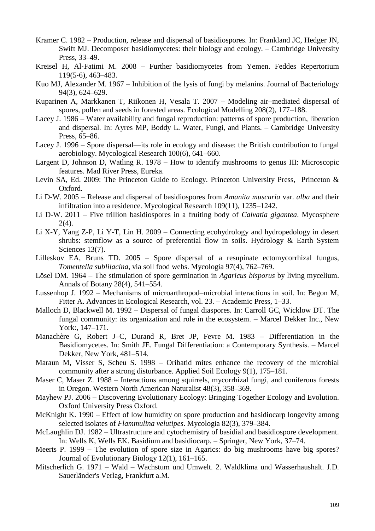- Kramer C. 1982 Production, release and dispersal of basidiospores. In: Frankland JC, Hedger JN, Swift MJ. Decomposer basidiomycetes: their biology and ecology. – Cambridge University Press, 33–49.
- Kreisel H, Al-Fatimi M. 2008 Further basidiomycetes from Yemen. Feddes Repertorium 119(5‐6), 463–483.
- Kuo MJ, Alexander M. 1967 Inhibition of the lysis of fungi by melanins. Journal of Bacteriology 94(3), 624–629.
- Kuparinen A, Markkanen T, Riikonen H, Vesala T. 2007 Modeling air–mediated dispersal of spores, pollen and seeds in forested areas. Ecological Modelling 208(2), 177–188.
- Lacey J. 1986 Water availability and fungal reproduction: patterns of spore production, liberation and dispersal. In: Ayres MP, Boddy L. Water, Fungi, and Plants. – Cambridge University Press, 65–86.
- Lacey J. 1996 Spore dispersal—its role in ecology and disease: the British contribution to fungal aerobiology. Mycological Research 100(6), 641–660.
- Largent D, Johnson D, Watling R. 1978 How to identify mushrooms to genus III: Microscopic features. Mad River Press, Eureka.
- Levin SA, Ed. 2009: The Princeton Guide to Ecology. Princeton University Press, Princeton & Oxford.
- Li D-W. 2005 Release and dispersal of basidiospores from *Amanita muscaria* var. *alba* and their infiltration into a residence. Mycological Research 109(11), 1235–1242.
- Li D-W. 2011 Five trillion basidiospores in a fruiting body of *Calvatia gigantea*. Mycosphere 2(4).
- Li X-Y, Yang Z-P, Li Y-T, Lin H. 2009 Connecting ecohydrology and hydropedology in desert shrubs: stemflow as a source of preferential flow in soils. Hydrology & Earth System Sciences 13(7).
- Lilleskov EA, Bruns TD. 2005 Spore dispersal of a resupinate ectomycorrhizal fungus, *Tomentella sublilacina*, via soil food webs. Mycologia 97(4), 762–769.
- Lösel DM. 1964 The stimulation of spore germination in *Agaricus bisporus* by living mycelium. Annals of Botany 28(4), 541–554.
- Lussenhop J. 1992 Mechanisms of microarthropod–microbial interactions in soil. In: Begon M, Fitter A. Advances in Ecological Research, vol. 23. – Academic Press, 1–33.
- Malloch D, Blackwell M. 1992 Dispersal of fungal diaspores. In: Carroll GC, Wicklow DT. The fungal community: its organization and role in the ecosystem. – Marcel Dekker Inc., New York:, 147–171.
- Manachère G, Robert J–C, Durand R, Bret JP, Fevre M. 1983 Differentiation in the Basidiomycetes. In: Smith JE. Fungal Differentiation: a Contemporary Synthesis. – Marcel Dekker, New York, 481–514.
- Maraun M, Visser S, Scheu S. 1998 Oribatid mites enhance the recovery of the microbial community after a strong disturbance. Applied Soil Ecology 9(1), 175–181.
- Maser C, Maser Z. 1988 Interactions among squirrels, mycorrhizal fungi, and coniferous forests in Oregon. Western North American Naturalist 48(3), 358–369.
- Mayhew PJ. 2006 Discovering Evolutionary Ecology: Bringing Together Ecology and Evolution. Oxford University Press Oxford.
- McKnight K. 1990 Effect of low humidity on spore production and basidiocarp longevity among selected isolates of *Flammulina velutipes*. Mycologia 82(3), 379–384.
- McLaughlin DJ. 1982 Ultrastructure and cytochemistry of basidial and basidiospore development. In: Wells K, Wells EK. Basidium and basidiocarp. – Springer, New York, 37–74.
- Meerts P. 1999 The evolution of spore size in Agarics: do big mushrooms have big spores? Journal of Evolutionary Biology 12(1), 161–165.
- Mitscherlich G. 1971 Wald Wachstum und Umwelt. 2. Waldklima und Wasserhaushalt. J.D. Sauerländer's Verlag, Frankfurt a.M.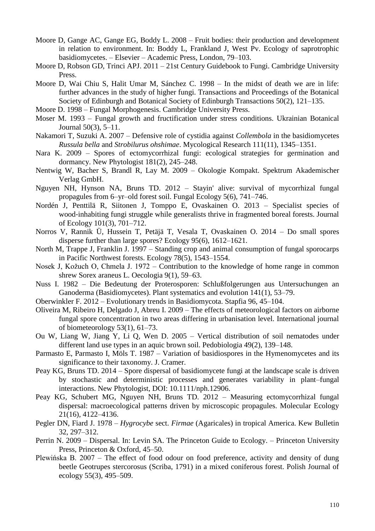- Moore D, Gange AC, Gange EG, Boddy L. 2008 Fruit bodies: their production and development in relation to environment. In: Boddy L, Frankland J, West Pv. Ecology of saprotrophic basidiomycetes. – Elsevier – Academic Press, London, 79–103.
- Moore D, Robson GD, Trinci APJ. 2011 21st Century Guidebook to Fungi. Cambridge University Press.
- Moore D, Wai Chiu S, Halit Umar M, Sánchez C. 1998 In the midst of death we are in life: further advances in the study of higher fungi. Transactions and Proceedings of the Botanical Society of Edinburgh and Botanical Society of Edinburgh Transactions 50(2), 121–135.
- Moore D. 1998 Fungal Morphogenesis. Cambridge University Press.
- Moser M. 1993 Fungal growth and fructification under stress conditions. Ukrainian Botanical Journal 50(3), 5–11.
- Nakamori T, Suzuki A. 2007 Defensive role of cystidia against *Collembola* in the basidiomycetes *Russula bella* and *Strobilurus ohshimae*. Mycological Research 111(11), 1345–1351.
- Nara K. 2009 Spores of ectomycorrhizal fungi: ecological strategies for germination and dormancy. New Phytologist 181(2), 245–248.
- Nentwig W, Bacher S, Brandl R, Lay M. 2009 Okologie Kompakt. Spektrum Akademischer Verlag GmbH.
- Nguyen NH, Hynson NA, Bruns TD. 2012 Stayin' alive: survival of mycorrhizal fungal propagules from 6–yr–old forest soil. Fungal Ecology 5(6), 741–746.
- Nordén J, Penttilä R, Siitonen J, Tomppo E, Ovaskainen O. 2013 Specialist species of wood-inhabiting fungi struggle while generalists thrive in fragmented boreal forests. Journal of Ecology 101(3), 701–712.
- Norros V, Rannik Ü, Hussein T, Petäjä T, Vesala T, Ovaskainen O. 2014 Do small spores disperse further than large spores? Ecology 95(6), 1612–1621.
- North M, Trappe J, Franklin J. 1997 Standing crop and animal consumption of fungal sporocarps in Pacific Northwest forests. Ecology 78(5), 1543–1554.
- Nosek J, Kožuch O, Chmela J. 1972 Contribution to the knowledge of home range in common shrew Sorex araneus L. Oecologia 9(1), 59–63.
- Nuss I. 1982 Die Bedeutung der Proterosporen: Schlußfolgerungen aus Untersuchungen an Ganoderma (Basidiomycetes). Plant systematics and evolution 141(1), 53–79.
- Oberwinkler F. 2012 Evolutionary trends in Basidiomycota. Stapfia 96, 45–104.
- Oliveira M, Ribeiro H, Delgado J, Abreu I. 2009 The effects of meteorological factors on airborne fungal spore concentration in two areas differing in urbanisation level. International journal of biometeorology 53(1), 61–73.
- Ou W, Liang W, Jiang Y, Li Q, Wen D. 2005 Vertical distribution of soil nematodes under different land use types in an aquic brown soil. Pedobiologia 49(2), 139–148.
- Parmasto E, Parmasto I, Möls T. 1987 Variation of basidiospores in the Hymenomycetes and its significance to their taxonomy. J. Cramer.
- Peay KG, Bruns TD. 2014 Spore dispersal of basidiomycete fungi at the landscape scale is driven by stochastic and deterministic processes and generates variability in plant–fungal interactions. New Phytologist, DOI: 10.1111/nph.12906.
- Peay KG, Schubert MG, Nguyen NH, Bruns TD. 2012 Measuring ectomycorrhizal fungal dispersal: macroecological patterns driven by microscopic propagules. Molecular Ecology 21(16), 4122–4136.
- Pegler DN, Fiard J. 1978 *Hygrocybe* sect. *Firmae* (Agaricales) in tropical America. Kew Bulletin 32, 297–312.
- Perrin N. 2009 Dispersal. In: Levin SA. The Princeton Guide to Ecology. Princeton University Press, Princeton & Oxford, 45–50.
- Plewińska B. 2007 The effect of food odour on food preference, activity and density of dung beetle Geotrupes stercorosus (Scriba, 1791) in a mixed coniferous forest. Polish Journal of ecology 55(3), 495–509.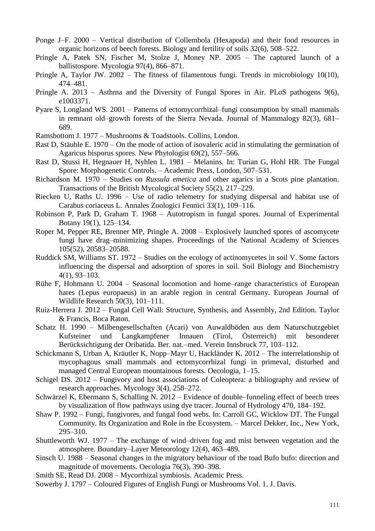- Ponge J–F. 2000 Vertical distribution of Collembola (Hexapoda) and their food resources in organic horizons of beech forests. Biology and fertility of soils 32(6), 508–522.
- Pringle A, Patek SN, Fischer M, Stolze J, Money NP. 2005 The captured launch of a ballistospore. Mycologia 97(4), 866–871.
- Pringle A, Taylor JW. 2002 The fitness of filamentous fungi. Trends in microbiology 10(10), 474–481.
- Pringle A. 2013 Asthma and the Diversity of Fungal Spores in Air. PLoS pathogens 9(6), e1003371.
- Pyare S, Longland WS. 2001 Patterns of ectomycorrhizal–fungi consumption by small mammals in remnant old–growth forests of the Sierra Nevada. Journal of Mammalogy 82(3), 681– 689.
- Ramsbottom J. 1977 Mushrooms & Toadstools. Collins, London.
- Rast D, Stäuble E. 1970 On the mode of action of isovaleric acid in stimulating the germination of Agaricus bisporus spores. New Phytologist 69(2), 557–566.
- Rast D, Stussi H, Hegnauer H, Nyhlen L. 1981 Melanins. In: Turian G, Hohl HR. The Fungal Spore: Morphogenetic Controls. – Academic Press, London, 507–531.
- Richardson M. 1970 Studies on *Russula emetica* and other agarics in a Scots pine plantation. Transactions of the British Mycological Society 55(2), 217–229.
- Riecken U, Raths U. 1996 Use of radio telemetry for studying dispersal and habitat use of Carabus coriaceus L. Annales Zoologici Fennici 33(1), 109–116.
- Robinson P, Park D, Graham T. 1968 Autotropism in fungal spores. Journal of Experimental Botany 19(1), 125–134.
- Roper M, Pepper RE, Brenner MP, Pringle A. 2008 Explosively launched spores of ascomycete fungi have drag–minimizing shapes. Proceedings of the National Academy of Sciences 105(52), 20583–20588.
- Ruddick SM, Williams ST. 1972 Studies on the ecology of actinomycetes in soil V. Some factors influencing the dispersal and adsorption of spores in soil. Soil Biology and Biochemistry 4(1), 93–103.
- Rühe F, Hohmann U. 2004 Seasonal locomotion and home–range characteristics of European hares (Lepus europaeus) in an arable region in central Germany. European Journal of Wildlife Research 50(3), 101–111.
- Ruiz-Herrera J. 2012 Fungal Cell Wall: Structure, Synthesis, and Assembly, 2nd Edition. Taylor & Francis, Boca Raton.
- Schatz H. 1990 Milbengesellschaften (Acari) von Auwaldböden aus dem Naturschutzgebiet Kufsteiner und Langkampfener Innauen (Tirol, Österreich) mit besonderer Berücksichtigung der Oribatida. Ber. nat.–med. Verein Innsbruck 77, 103–112.
- Schickmann S, Urban A, Kräutler K, Nopp–Mayr U, Hackländer K. 2012 The interrelationship of mycophagous small mammals and ectomycorrhizal fungi in primeval, disturbed and managed Central European mountainous forests. Oecologia, 1–15.
- Schigel DS. 2012 Fungivory and host associations of Coleoptera: a bibliography and review of research approaches. Mycology 3(4), 258–272.
- Schwärzel K, Ebermann S, Schalling N. 2012 Evidence of double–funneling effect of beech trees by visualization of flow pathways using dye tracer. Journal of Hydrology 470, 184–192.
- Shaw P. 1992 Fungi, fungivores, and fungal food webs. In: Carroll GC, Wicklow DT. The Fungal Community. Its Organization and Role in the Ecosystem. – Marcel Dekker, Inc., New York, 295–310.
- Shuttleworth WJ. 1977 The exchange of wind–driven fog and mist between vegetation and the atmosphere. Boundary–Layer Meteorology 12(4), 463–489.
- Sinsch U. 1988 Seasonal changes in the migratory behaviour of the toad Bufo bufo: direction and magnitude of movements. Oecologia 76(3), 390–398.
- Smith SE, Read DJ. 2008 Mycorrhizal symbiosis. Academic Press.
- Sowerby J. 1797 Coloured Figures of English Fungi or Mushrooms Vol. 1. J. Davis.